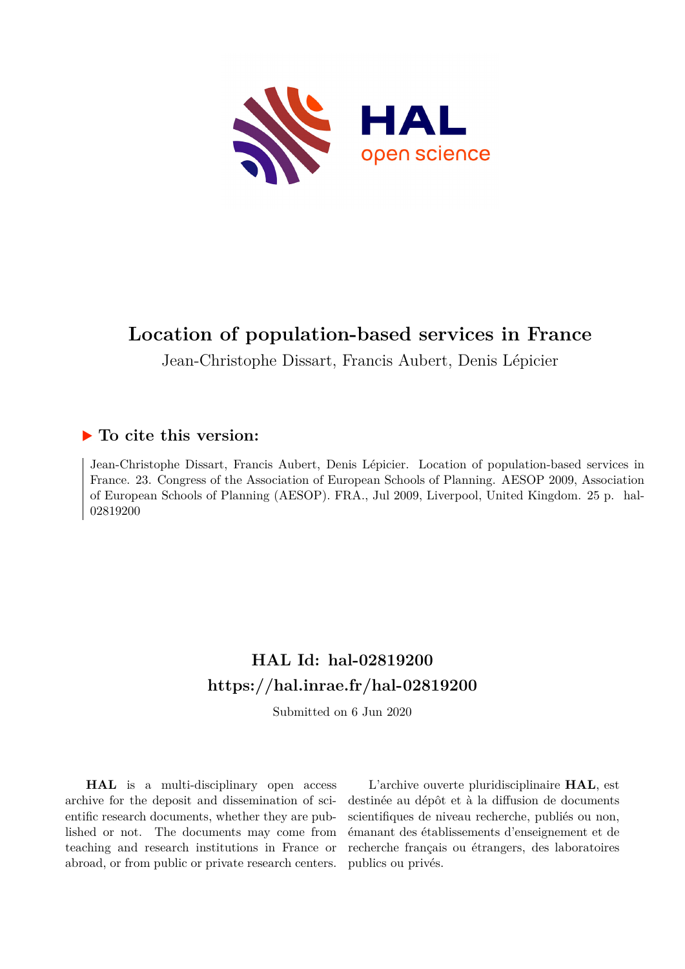

# **Location of population-based services in France**

Jean-Christophe Dissart, Francis Aubert, Denis Lépicier

## **To cite this version:**

Jean-Christophe Dissart, Francis Aubert, Denis Lépicier. Location of population-based services in France. 23. Congress of the Association of European Schools of Planning. AESOP 2009, Association of European Schools of Planning (AESOP). FRA., Jul 2009, Liverpool, United Kingdom. 25 p. hal-02819200ff

# **HAL Id: hal-02819200 <https://hal.inrae.fr/hal-02819200>**

Submitted on 6 Jun 2020

**HAL** is a multi-disciplinary open access archive for the deposit and dissemination of scientific research documents, whether they are published or not. The documents may come from teaching and research institutions in France or abroad, or from public or private research centers.

L'archive ouverte pluridisciplinaire **HAL**, est destinée au dépôt et à la diffusion de documents scientifiques de niveau recherche, publiés ou non, émanant des établissements d'enseignement et de recherche français ou étrangers, des laboratoires publics ou privés.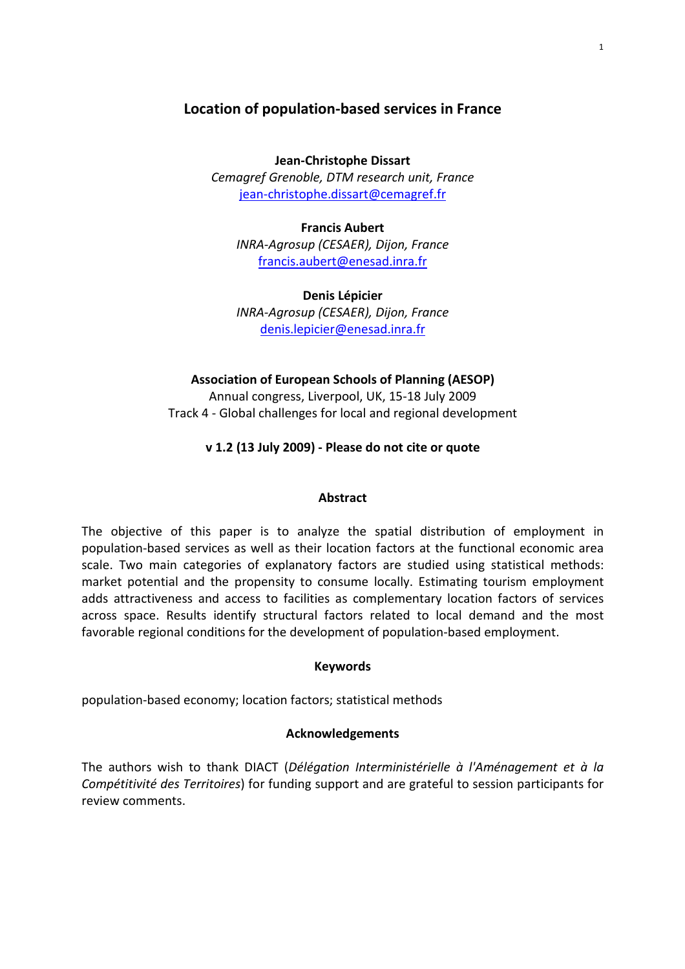## Location of population-based services in France

Jean-Christophe Dissart Cemagref Grenoble, DTM research unit, France jean-christophe.dissart@cemagref.fr

Francis Aubert INRA-Agrosup (CESAER), Dijon, France francis.aubert@enesad.inra.fr

Denis Lépicier INRA-Agrosup (CESAER), Dijon, France denis.lepicier@enesad.inra.fr

## Association of European Schools of Planning (AESOP)

Annual congress, Liverpool, UK, 15-18 July 2009 Track 4 - Global challenges for local and regional development

#### v 1.2 (13 July 2009) - Please do not cite or quote

#### Abstract

The objective of this paper is to analyze the spatial distribution of employment in population-based services as well as their location factors at the functional economic area scale. Two main categories of explanatory factors are studied using statistical methods: market potential and the propensity to consume locally. Estimating tourism employment adds attractiveness and access to facilities as complementary location factors of services across space. Results identify structural factors related to local demand and the most favorable regional conditions for the development of population-based employment.

#### Keywords

population-based economy; location factors; statistical methods

#### Acknowledgements

The authors wish to thank DIACT (Délégation Interministérielle à l'Aménagement et à la Compétitivité des Territoires) for funding support and are grateful to session participants for review comments.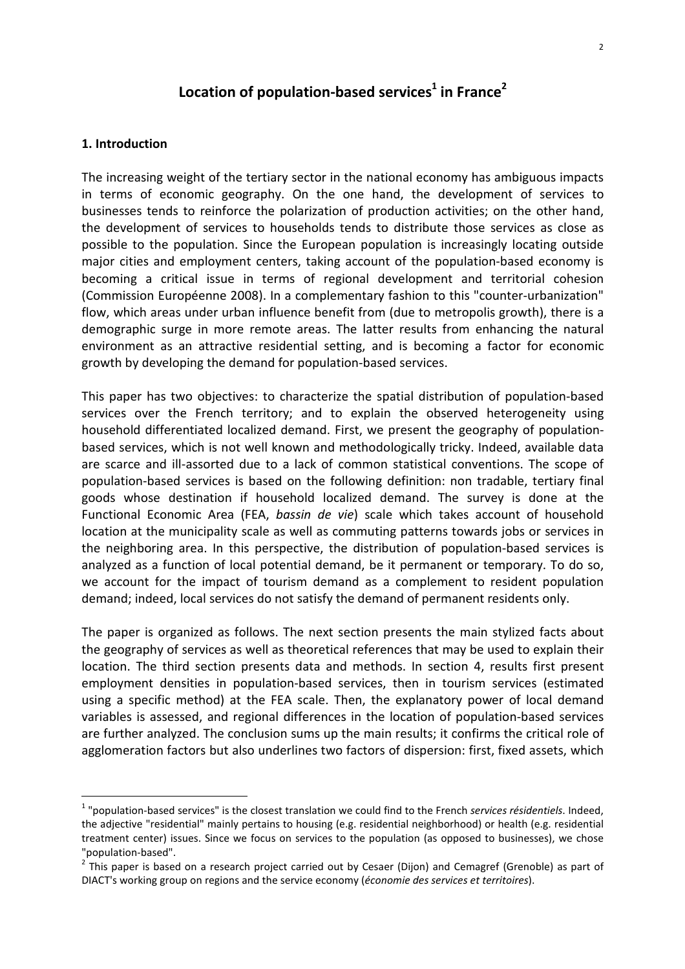# Location of population-based services<sup>1</sup> in France<sup>2</sup>

#### 1. Introduction

 $\overline{a}$ 

The increasing weight of the tertiary sector in the national economy has ambiguous impacts in terms of economic geography. On the one hand, the development of services to businesses tends to reinforce the polarization of production activities; on the other hand, the development of services to households tends to distribute those services as close as possible to the population. Since the European population is increasingly locating outside major cities and employment centers, taking account of the population-based economy is becoming a critical issue in terms of regional development and territorial cohesion (Commission Européenne 2008). In a complementary fashion to this "counter-urbanization" flow, which areas under urban influence benefit from (due to metropolis growth), there is a demographic surge in more remote areas. The latter results from enhancing the natural environment as an attractive residential setting, and is becoming a factor for economic growth by developing the demand for population-based services.

This paper has two objectives: to characterize the spatial distribution of population-based services over the French territory; and to explain the observed heterogeneity using household differentiated localized demand. First, we present the geography of populationbased services, which is not well known and methodologically tricky. Indeed, available data are scarce and ill-assorted due to a lack of common statistical conventions. The scope of population-based services is based on the following definition: non tradable, tertiary final goods whose destination if household localized demand. The survey is done at the Functional Economic Area (FEA, bassin de vie) scale which takes account of household location at the municipality scale as well as commuting patterns towards jobs or services in the neighboring area. In this perspective, the distribution of population-based services is analyzed as a function of local potential demand, be it permanent or temporary. To do so, we account for the impact of tourism demand as a complement to resident population demand; indeed, local services do not satisfy the demand of permanent residents only.

The paper is organized as follows. The next section presents the main stylized facts about the geography of services as well as theoretical references that may be used to explain their location. The third section presents data and methods. In section 4, results first present employment densities in population-based services, then in tourism services (estimated using a specific method) at the FEA scale. Then, the explanatory power of local demand variables is assessed, and regional differences in the location of population-based services are further analyzed. The conclusion sums up the main results; it confirms the critical role of agglomeration factors but also underlines two factors of dispersion: first, fixed assets, which

 $1$  "population-based services" is the closest translation we could find to the French services résidentiels. Indeed, the adjective "residential" mainly pertains to housing (e.g. residential neighborhood) or health (e.g. residential treatment center) issues. Since we focus on services to the population (as opposed to businesses), we chose "population-based".

<sup>&</sup>lt;sup>2</sup> This paper is based on a research project carried out by Cesaer (Dijon) and Cemagref (Grenoble) as part of DIACT's working group on regions and the service economy (économie des services et territoires).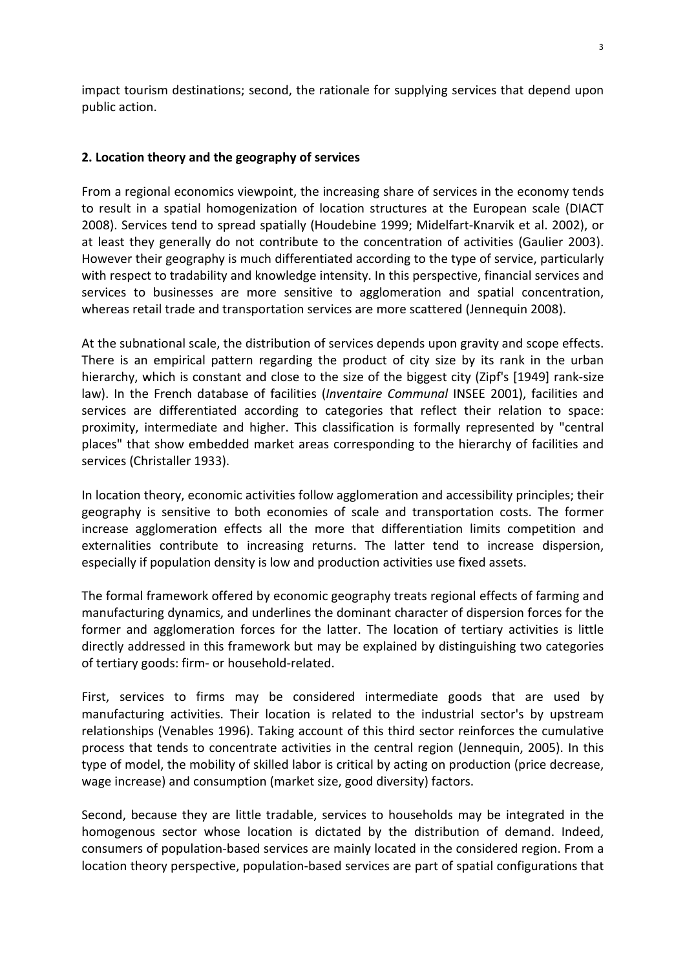impact tourism destinations; second, the rationale for supplying services that depend upon public action.

### 2. Location theory and the geography of services

From a regional economics viewpoint, the increasing share of services in the economy tends to result in a spatial homogenization of location structures at the European scale (DIACT 2008). Services tend to spread spatially (Houdebine 1999; Midelfart-Knarvik et al. 2002), or at least they generally do not contribute to the concentration of activities (Gaulier 2003). However their geography is much differentiated according to the type of service, particularly with respect to tradability and knowledge intensity. In this perspective, financial services and services to businesses are more sensitive to agglomeration and spatial concentration, whereas retail trade and transportation services are more scattered (Jennequin 2008).

At the subnational scale, the distribution of services depends upon gravity and scope effects. There is an empirical pattern regarding the product of city size by its rank in the urban hierarchy, which is constant and close to the size of the biggest city (Zipf's [1949] rank-size law). In the French database of facilities (Inventaire Communal INSEE 2001), facilities and services are differentiated according to categories that reflect their relation to space: proximity, intermediate and higher. This classification is formally represented by "central places" that show embedded market areas corresponding to the hierarchy of facilities and services (Christaller 1933).

In location theory, economic activities follow agglomeration and accessibility principles; their geography is sensitive to both economies of scale and transportation costs. The former increase agglomeration effects all the more that differentiation limits competition and externalities contribute to increasing returns. The latter tend to increase dispersion, especially if population density is low and production activities use fixed assets.

The formal framework offered by economic geography treats regional effects of farming and manufacturing dynamics, and underlines the dominant character of dispersion forces for the former and agglomeration forces for the latter. The location of tertiary activities is little directly addressed in this framework but may be explained by distinguishing two categories of tertiary goods: firm- or household-related.

First, services to firms may be considered intermediate goods that are used by manufacturing activities. Their location is related to the industrial sector's by upstream relationships (Venables 1996). Taking account of this third sector reinforces the cumulative process that tends to concentrate activities in the central region (Jennequin, 2005). In this type of model, the mobility of skilled labor is critical by acting on production (price decrease, wage increase) and consumption (market size, good diversity) factors.

Second, because they are little tradable, services to households may be integrated in the homogenous sector whose location is dictated by the distribution of demand. Indeed, consumers of population-based services are mainly located in the considered region. From a location theory perspective, population-based services are part of spatial configurations that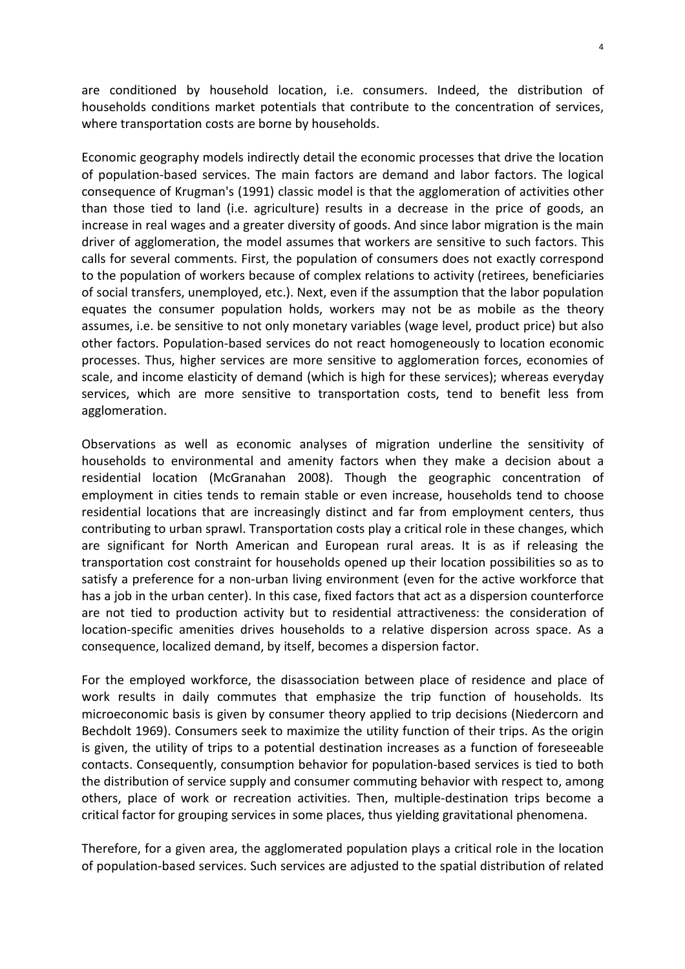are conditioned by household location, i.e. consumers. Indeed, the distribution of households conditions market potentials that contribute to the concentration of services, where transportation costs are borne by households.

Economic geography models indirectly detail the economic processes that drive the location of population-based services. The main factors are demand and labor factors. The logical consequence of Krugman's (1991) classic model is that the agglomeration of activities other than those tied to land (i.e. agriculture) results in a decrease in the price of goods, an increase in real wages and a greater diversity of goods. And since labor migration is the main driver of agglomeration, the model assumes that workers are sensitive to such factors. This calls for several comments. First, the population of consumers does not exactly correspond to the population of workers because of complex relations to activity (retirees, beneficiaries of social transfers, unemployed, etc.). Next, even if the assumption that the labor population equates the consumer population holds, workers may not be as mobile as the theory assumes, i.e. be sensitive to not only monetary variables (wage level, product price) but also other factors. Population-based services do not react homogeneously to location economic processes. Thus, higher services are more sensitive to agglomeration forces, economies of scale, and income elasticity of demand (which is high for these services); whereas everyday services, which are more sensitive to transportation costs, tend to benefit less from agglomeration.

Observations as well as economic analyses of migration underline the sensitivity of households to environmental and amenity factors when they make a decision about a residential location (McGranahan 2008). Though the geographic concentration of employment in cities tends to remain stable or even increase, households tend to choose residential locations that are increasingly distinct and far from employment centers, thus contributing to urban sprawl. Transportation costs play a critical role in these changes, which are significant for North American and European rural areas. It is as if releasing the transportation cost constraint for households opened up their location possibilities so as to satisfy a preference for a non-urban living environment (even for the active workforce that has a job in the urban center). In this case, fixed factors that act as a dispersion counterforce are not tied to production activity but to residential attractiveness: the consideration of location-specific amenities drives households to a relative dispersion across space. As a consequence, localized demand, by itself, becomes a dispersion factor.

For the employed workforce, the disassociation between place of residence and place of work results in daily commutes that emphasize the trip function of households. Its microeconomic basis is given by consumer theory applied to trip decisions (Niedercorn and Bechdolt 1969). Consumers seek to maximize the utility function of their trips. As the origin is given, the utility of trips to a potential destination increases as a function of foreseeable contacts. Consequently, consumption behavior for population-based services is tied to both the distribution of service supply and consumer commuting behavior with respect to, among others, place of work or recreation activities. Then, multiple-destination trips become a critical factor for grouping services in some places, thus yielding gravitational phenomena.

Therefore, for a given area, the agglomerated population plays a critical role in the location of population-based services. Such services are adjusted to the spatial distribution of related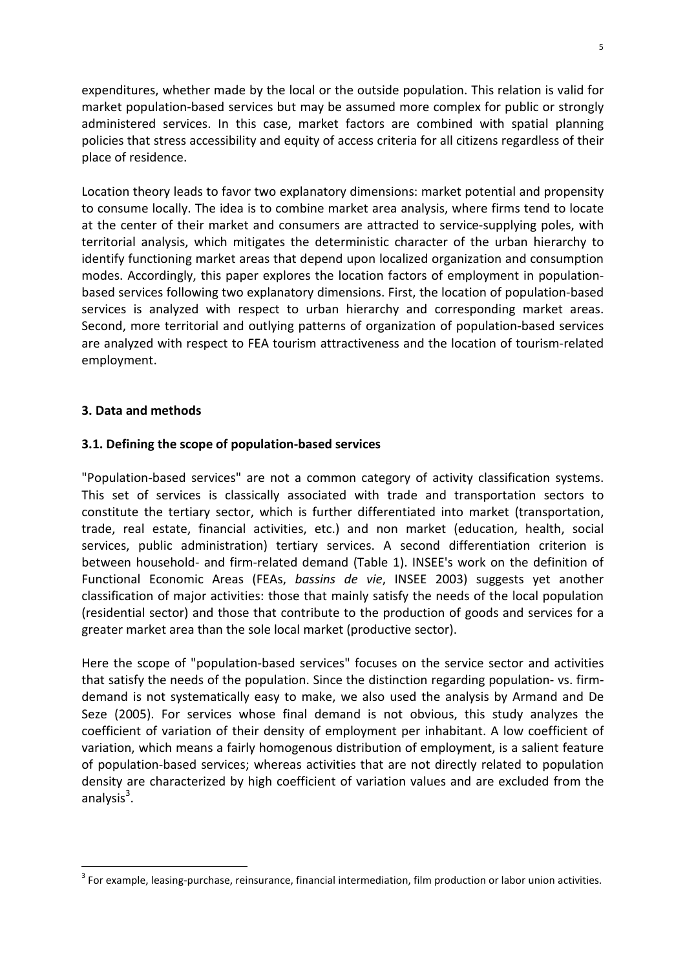expenditures, whether made by the local or the outside population. This relation is valid for market population-based services but may be assumed more complex for public or strongly administered services. In this case, market factors are combined with spatial planning policies that stress accessibility and equity of access criteria for all citizens regardless of their place of residence.

Location theory leads to favor two explanatory dimensions: market potential and propensity to consume locally. The idea is to combine market area analysis, where firms tend to locate at the center of their market and consumers are attracted to service-supplying poles, with territorial analysis, which mitigates the deterministic character of the urban hierarchy to identify functioning market areas that depend upon localized organization and consumption modes. Accordingly, this paper explores the location factors of employment in populationbased services following two explanatory dimensions. First, the location of population-based services is analyzed with respect to urban hierarchy and corresponding market areas. Second, more territorial and outlying patterns of organization of population-based services are analyzed with respect to FEA tourism attractiveness and the location of tourism-related employment.

#### 3. Data and methods

 $\overline{a}$ 

#### 3.1. Defining the scope of population-based services

"Population-based services" are not a common category of activity classification systems. This set of services is classically associated with trade and transportation sectors to constitute the tertiary sector, which is further differentiated into market (transportation, trade, real estate, financial activities, etc.) and non market (education, health, social services, public administration) tertiary services. A second differentiation criterion is between household- and firm-related demand (Table 1). INSEE's work on the definition of Functional Economic Areas (FEAs, bassins de vie, INSEE 2003) suggests yet another classification of major activities: those that mainly satisfy the needs of the local population (residential sector) and those that contribute to the production of goods and services for a greater market area than the sole local market (productive sector).

Here the scope of "population-based services" focuses on the service sector and activities that satisfy the needs of the population. Since the distinction regarding population- vs. firmdemand is not systematically easy to make, we also used the analysis by Armand and De Seze (2005). For services whose final demand is not obvious, this study analyzes the coefficient of variation of their density of employment per inhabitant. A low coefficient of variation, which means a fairly homogenous distribution of employment, is a salient feature of population-based services; whereas activities that are not directly related to population density are characterized by high coefficient of variation values and are excluded from the analysis<sup>3</sup>.

 $3$  For example, leasing-purchase, reinsurance, financial intermediation, film production or labor union activities.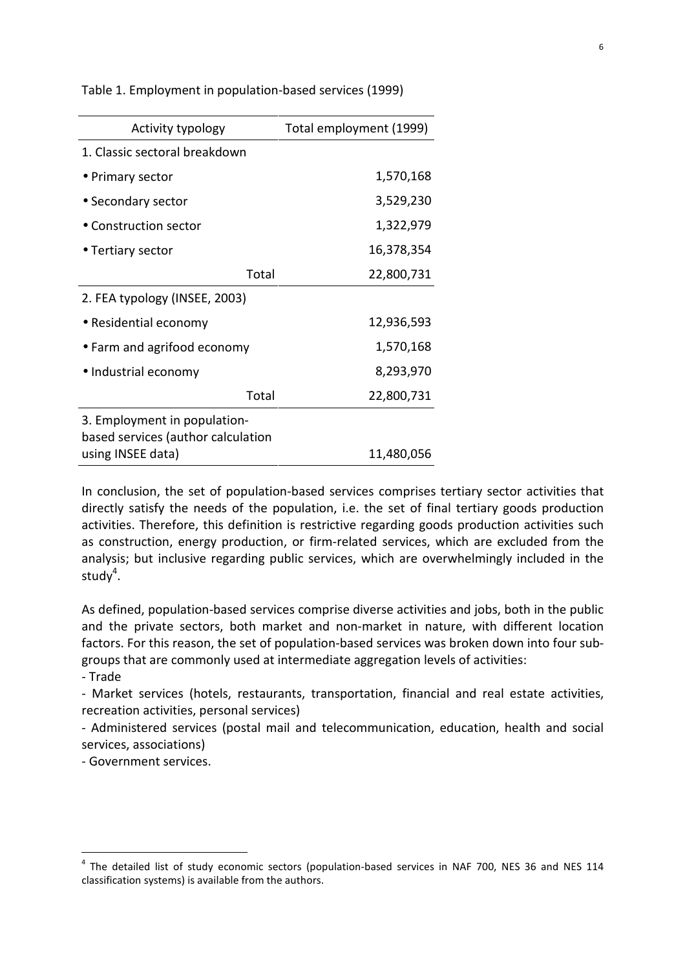Table 1. Employment in population-based services (1999) Activity typology Total employment (1999)

| 1. Classic sectoral breakdown                                      |           |            |
|--------------------------------------------------------------------|-----------|------------|
| • Primary sector                                                   |           | 1,570,168  |
| • Secondary sector                                                 |           | 3,529,230  |
| $\bullet$ Construction sector                                      |           | 1,322,979  |
| • Tertiary sector                                                  |           | 16,378,354 |
|                                                                    | Total     | 22,800,731 |
| 2. FEA typology (INSEE, 2003)                                      |           |            |
| • Residential economy                                              |           | 12,936,593 |
| • Farm and agrifood economy                                        | 1,570,168 |            |
| · Industrial economy                                               |           | 8,293,970  |
|                                                                    | Total     | 22,800,731 |
| 3. Employment in population-<br>based services (author calculation |           |            |
| using INSEE data)                                                  |           | 11,480,056 |

In conclusion, the set of population-based services comprises tertiary sector activities that directly satisfy the needs of the population, i.e. the set of final tertiary goods production activities. Therefore, this definition is restrictive regarding goods production activities such as construction, energy production, or firm-related services, which are excluded from the analysis; but inclusive regarding public services, which are overwhelmingly included in the study $4$ .

As defined, population-based services comprise diverse activities and jobs, both in the public and the private sectors, both market and non-market in nature, with different location factors. For this reason, the set of population-based services was broken down into four subgroups that are commonly used at intermediate aggregation levels of activities:

- Trade

 $\overline{a}$ 

- Market services (hotels, restaurants, transportation, financial and real estate activities, recreation activities, personal services)

- Administered services (postal mail and telecommunication, education, health and social services, associations)

- Government services.

 $^4$  The detailed list of study economic sectors (population-based services in NAF 700, NES 36 and NES 114 classification systems) is available from the authors.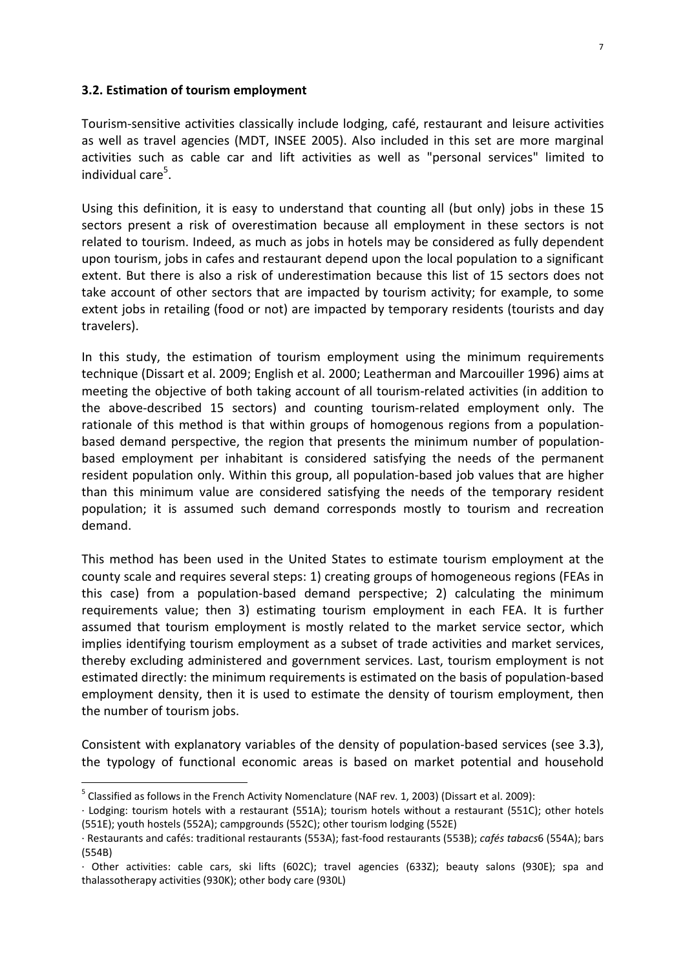#### 3.2. Estimation of tourism employment

Tourism-sensitive activities classically include lodging, café, restaurant and leisure activities as well as travel agencies (MDT, INSEE 2005). Also included in this set are more marginal activities such as cable car and lift activities as well as "personal services" limited to individual care<sup>5</sup>.

Using this definition, it is easy to understand that counting all (but only) jobs in these 15 sectors present a risk of overestimation because all employment in these sectors is not related to tourism. Indeed, as much as jobs in hotels may be considered as fully dependent upon tourism, jobs in cafes and restaurant depend upon the local population to a significant extent. But there is also a risk of underestimation because this list of 15 sectors does not take account of other sectors that are impacted by tourism activity; for example, to some extent jobs in retailing (food or not) are impacted by temporary residents (tourists and day travelers).

In this study, the estimation of tourism employment using the minimum requirements technique (Dissart et al. 2009; English et al. 2000; Leatherman and Marcouiller 1996) aims at meeting the objective of both taking account of all tourism-related activities (in addition to the above-described 15 sectors) and counting tourism-related employment only. The rationale of this method is that within groups of homogenous regions from a populationbased demand perspective, the region that presents the minimum number of populationbased employment per inhabitant is considered satisfying the needs of the permanent resident population only. Within this group, all population-based job values that are higher than this minimum value are considered satisfying the needs of the temporary resident population; it is assumed such demand corresponds mostly to tourism and recreation demand.

This method has been used in the United States to estimate tourism employment at the county scale and requires several steps: 1) creating groups of homogeneous regions (FEAs in this case) from a population-based demand perspective; 2) calculating the minimum requirements value; then 3) estimating tourism employment in each FEA. It is further assumed that tourism employment is mostly related to the market service sector, which implies identifying tourism employment as a subset of trade activities and market services, thereby excluding administered and government services. Last, tourism employment is not estimated directly: the minimum requirements is estimated on the basis of population-based employment density, then it is used to estimate the density of tourism employment, then the number of tourism jobs.

Consistent with explanatory variables of the density of population-based services (see 3.3), the typology of functional economic areas is based on market potential and household

 $\overline{a}$ 

 $^5$  Classified as follows in the French Activity Nomenclature (NAF rev. 1, 2003) (Dissart et al. 2009):

<sup>·</sup> Lodging: tourism hotels with a restaurant (551A); tourism hotels without a restaurant (551C); other hotels (551E); youth hostels (552A); campgrounds (552C); other tourism lodging (552E)

<sup>·</sup> Restaurants and cafés: traditional restaurants (553A); fast-food restaurants (553B); cafés tabacs6 (554A); bars (554B)

<sup>·</sup> Other activities: cable cars, ski lifts (602C); travel agencies (633Z); beauty salons (930E); spa and thalassotherapy activities (930K); other body care (930L)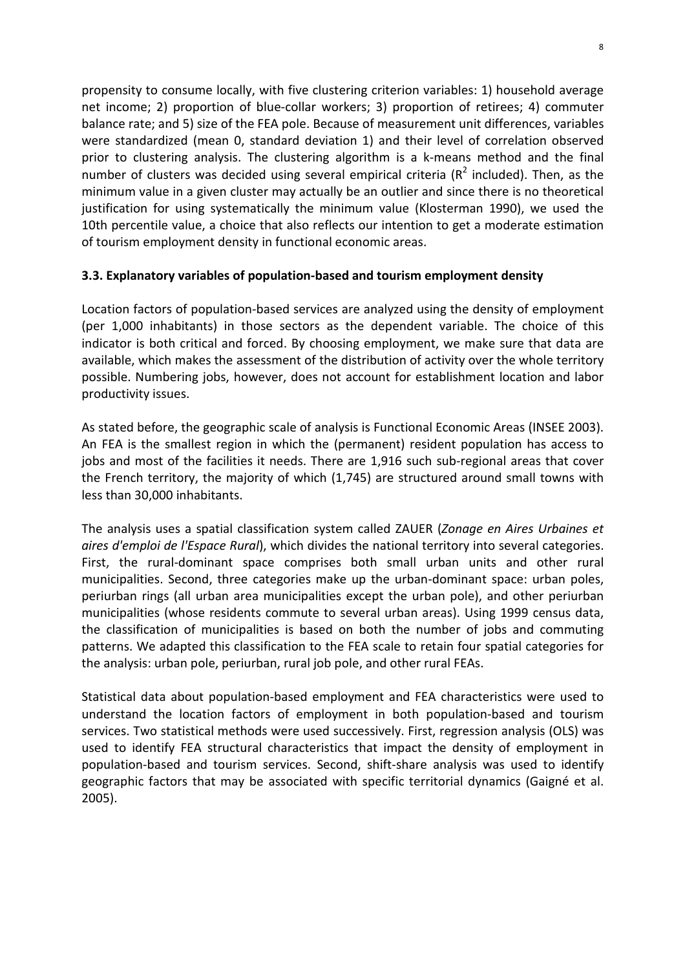propensity to consume locally, with five clustering criterion variables: 1) household average net income; 2) proportion of blue-collar workers; 3) proportion of retirees; 4) commuter balance rate; and 5) size of the FEA pole. Because of measurement unit differences, variables were standardized (mean 0, standard deviation 1) and their level of correlation observed prior to clustering analysis. The clustering algorithm is a k-means method and the final number of clusters was decided using several empirical criteria ( $R^2$  included). Then, as the minimum value in a given cluster may actually be an outlier and since there is no theoretical justification for using systematically the minimum value (Klosterman 1990), we used the 10th percentile value, a choice that also reflects our intention to get a moderate estimation of tourism employment density in functional economic areas.

## 3.3. Explanatory variables of population-based and tourism employment density

Location factors of population-based services are analyzed using the density of employment (per 1,000 inhabitants) in those sectors as the dependent variable. The choice of this indicator is both critical and forced. By choosing employment, we make sure that data are available, which makes the assessment of the distribution of activity over the whole territory possible. Numbering jobs, however, does not account for establishment location and labor productivity issues.

As stated before, the geographic scale of analysis is Functional Economic Areas (INSEE 2003). An FEA is the smallest region in which the (permanent) resident population has access to jobs and most of the facilities it needs. There are 1,916 such sub-regional areas that cover the French territory, the majority of which (1,745) are structured around small towns with less than 30,000 inhabitants.

The analysis uses a spatial classification system called ZAUER (Zonage en Aires Urbaines et aires d'emploi de l'Espace Rural), which divides the national territory into several categories. First, the rural-dominant space comprises both small urban units and other rural municipalities. Second, three categories make up the urban-dominant space: urban poles, periurban rings (all urban area municipalities except the urban pole), and other periurban municipalities (whose residents commute to several urban areas). Using 1999 census data, the classification of municipalities is based on both the number of jobs and commuting patterns. We adapted this classification to the FEA scale to retain four spatial categories for the analysis: urban pole, periurban, rural job pole, and other rural FEAs.

Statistical data about population-based employment and FEA characteristics were used to understand the location factors of employment in both population-based and tourism services. Two statistical methods were used successively. First, regression analysis (OLS) was used to identify FEA structural characteristics that impact the density of employment in population-based and tourism services. Second, shift-share analysis was used to identify geographic factors that may be associated with specific territorial dynamics (Gaigné et al. 2005).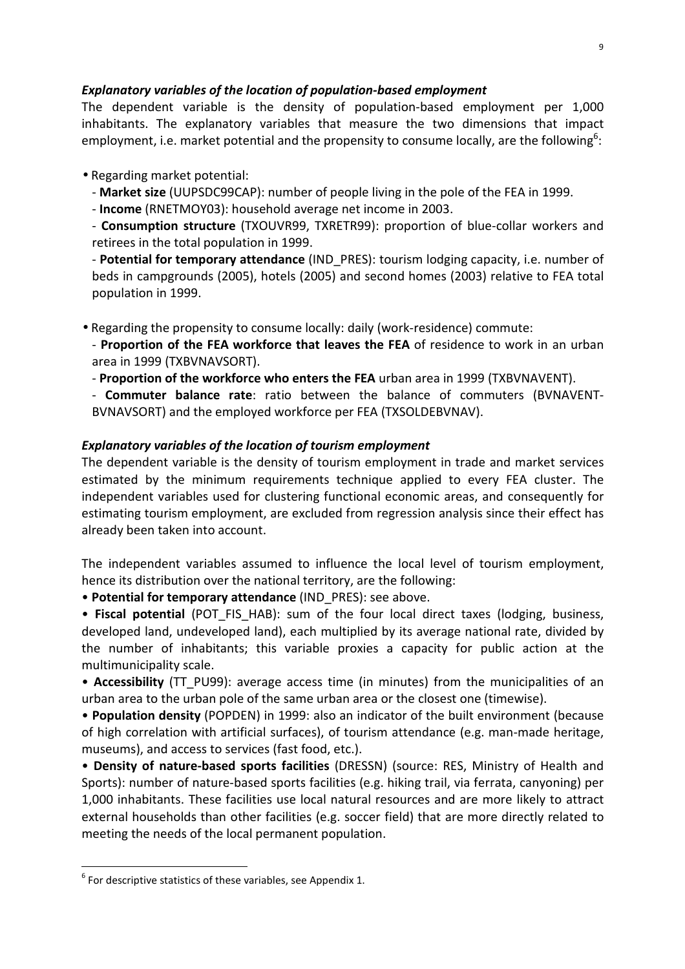#### Explanatory variables of the location of population-based employment

The dependent variable is the density of population-based employment per 1,000 inhabitants. The explanatory variables that measure the two dimensions that impact employment, i.e. market potential and the propensity to consume locally, are the following<sup>6</sup>:

• Regarding market potential:

- Market size (UUPSDC99CAP): number of people living in the pole of the FEA in 1999.

- Income (RNETMOY03): household average net income in 2003.

- Consumption structure (TXOUVR99, TXRETR99): proportion of blue-collar workers and retirees in the total population in 1999.

- Potential for temporary attendance (IND PRES): tourism lodging capacity, i.e. number of beds in campgrounds (2005), hotels (2005) and second homes (2003) relative to FEA total population in 1999.

• Regarding the propensity to consume locally: daily (work-residence) commute:

- Proportion of the FEA workforce that leaves the FEA of residence to work in an urban area in 1999 (TXBVNAVSORT).

- Proportion of the workforce who enters the FEA urban area in 1999 (TXBVNAVENT).

- Commuter balance rate: ratio between the balance of commuters (BVNAVENT-BVNAVSORT) and the employed workforce per FEA (TXSOLDEBVNAV).

## Explanatory variables of the location of tourism employment

The dependent variable is the density of tourism employment in trade and market services estimated by the minimum requirements technique applied to every FEA cluster. The independent variables used for clustering functional economic areas, and consequently for estimating tourism employment, are excluded from regression analysis since their effect has already been taken into account.

The independent variables assumed to influence the local level of tourism employment, hence its distribution over the national territory, are the following:

• Potential for temporary attendance (IND\_PRES): see above.

• Fiscal potential (POT FIS HAB): sum of the four local direct taxes (lodging, business, developed land, undeveloped land), each multiplied by its average national rate, divided by the number of inhabitants; this variable proxies a capacity for public action at the multimunicipality scale.

• Accessibility (TT\_PU99): average access time (in minutes) from the municipalities of an urban area to the urban pole of the same urban area or the closest one (timewise).

• Population density (POPDEN) in 1999: also an indicator of the built environment (because of high correlation with artificial surfaces), of tourism attendance (e.g. man-made heritage, museums), and access to services (fast food, etc.).

• Density of nature-based sports facilities (DRESSN) (source: RES, Ministry of Health and Sports): number of nature-based sports facilities (e.g. hiking trail, via ferrata, canyoning) per 1,000 inhabitants. These facilities use local natural resources and are more likely to attract external households than other facilities (e.g. soccer field) that are more directly related to meeting the needs of the local permanent population.

 $\overline{a}$ 

 $6$  For descriptive statistics of these variables, see Appendix 1.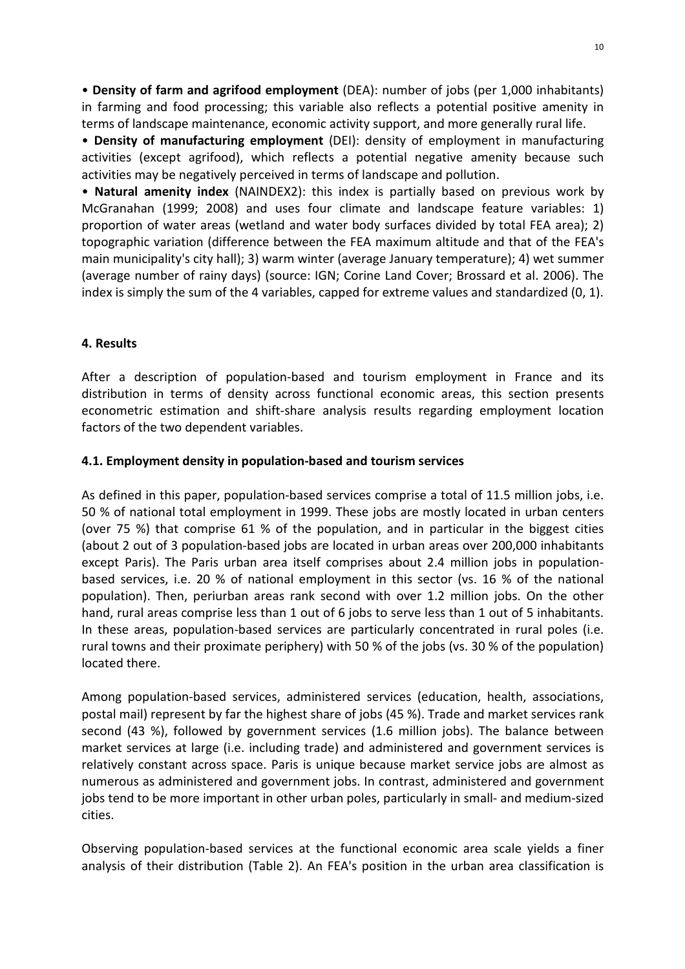• Density of farm and agrifood employment (DEA): number of jobs (per 1,000 inhabitants) in farming and food processing; this variable also reflects a potential positive amenity in terms of landscape maintenance, economic activity support, and more generally rural life.

• Density of manufacturing employment (DEI): density of employment in manufacturing activities (except agrifood), which reflects a potential negative amenity because such activities may be negatively perceived in terms of landscape and pollution.

• Natural amenity index (NAINDEX2): this index is partially based on previous work by McGranahan (1999; 2008) and uses four climate and landscape feature variables: 1) proportion of water areas (wetland and water body surfaces divided by total FEA area); 2) topographic variation (difference between the FEA maximum altitude and that of the FEA's main municipality's city hall); 3) warm winter (average January temperature); 4) wet summer (average number of rainy days) (source: IGN; Corine Land Cover; Brossard et al. 2006). The index is simply the sum of the 4 variables, capped for extreme values and standardized (0, 1).

### 4. Results

After a description of population-based and tourism employment in France and its distribution in terms of density across functional economic areas, this section presents econometric estimation and shift-share analysis results regarding employment location factors of the two dependent variables.

#### 4.1. Employment density in population-based and tourism services

As defined in this paper, population-based services comprise a total of 11.5 million jobs, i.e. 50 % of national total employment in 1999. These jobs are mostly located in urban centers (over 75 %) that comprise 61 % of the population, and in particular in the biggest cities (about 2 out of 3 population-based jobs are located in urban areas over 200,000 inhabitants except Paris). The Paris urban area itself comprises about 2.4 million jobs in populationbased services, i.e. 20 % of national employment in this sector (vs. 16 % of the national population). Then, periurban areas rank second with over 1.2 million jobs. On the other hand, rural areas comprise less than 1 out of 6 jobs to serve less than 1 out of 5 inhabitants. In these areas, population-based services are particularly concentrated in rural poles (i.e. rural towns and their proximate periphery) with 50 % of the jobs (vs. 30 % of the population) located there.

Among population-based services, administered services (education, health, associations, postal mail) represent by far the highest share of jobs (45 %). Trade and market services rank second (43 %), followed by government services (1.6 million jobs). The balance between market services at large (i.e. including trade) and administered and government services is relatively constant across space. Paris is unique because market service jobs are almost as numerous as administered and government jobs. In contrast, administered and government jobs tend to be more important in other urban poles, particularly in small- and medium-sized cities.

Observing population-based services at the functional economic area scale yields a finer analysis of their distribution (Table 2). An FEA's position in the urban area classification is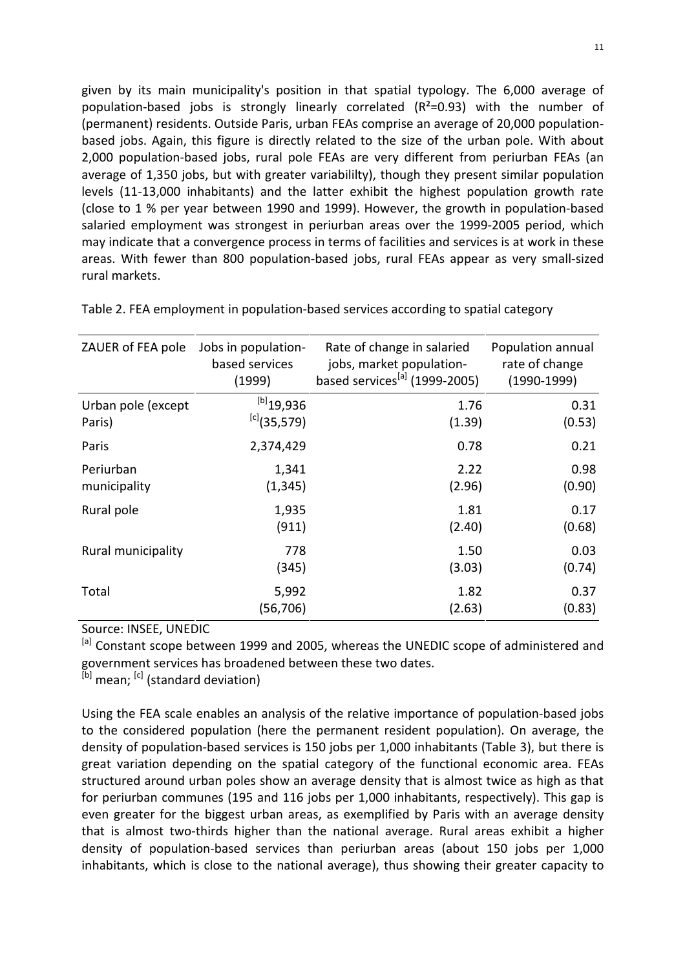given by its main municipality's position in that spatial typology. The 6,000 average of population-based jobs is strongly linearly correlated (R²=0.93) with the number of (permanent) residents. Outside Paris, urban FEAs comprise an average of 20,000 populationbased jobs. Again, this figure is directly related to the size of the urban pole. With about 2,000 population-based jobs, rural pole FEAs are very different from periurban FEAs (an average of 1,350 jobs, but with greater variabililty), though they present similar population levels (11-13,000 inhabitants) and the latter exhibit the highest population growth rate (close to 1 % per year between 1990 and 1999). However, the growth in population-based salaried employment was strongest in periurban areas over the 1999-2005 period, which may indicate that a convergence process in terms of facilities and services is at work in these areas. With fewer than 800 population-based jobs, rural FEAs appear as very small-sized rural markets.

| ZAUER of FEA pole  | Jobs in population- | Rate of change in salaried                | Population annual |
|--------------------|---------------------|-------------------------------------------|-------------------|
|                    | based services      | jobs, market population-                  | rate of change    |
|                    | (1999)              | based services <sup>[a]</sup> (1999-2005) | $(1990-1999)$     |
| Urban pole (except | $[b]$ 19,936        | 1.76                                      | 0.31              |
| Paris)             | $^{[c]}$ (35,579)   | (1.39)                                    | (0.53)            |
| Paris              | 2,374,429           | 0.78                                      | 0.21              |
| Periurban          | 1,341               | 2.22                                      | 0.98              |
| municipality       | (1, 345)            | (2.96)                                    | (0.90)            |
| Rural pole         | 1,935               | 1.81                                      | 0.17              |
|                    | (911)               | (2.40)                                    | (0.68)            |
| Rural municipality | 778                 | 1.50                                      | 0.03              |
|                    | (345)               | (3.03)                                    | (0.74)            |
| Total              | 5,992               | 1.82                                      | 0.37              |
|                    | (56,706)            | (2.63)                                    | (0.83)            |

Table 2. FEA employment in population-based services according to spatial category

Source: INSEE, UNEDIC

[a] Constant scope between 1999 and 2005, whereas the UNEDIC scope of administered and government services has broadened between these two dates.

[b] mean; [c] (standard deviation)

Using the FEA scale enables an analysis of the relative importance of population-based jobs to the considered population (here the permanent resident population). On average, the density of population-based services is 150 jobs per 1,000 inhabitants (Table 3), but there is great variation depending on the spatial category of the functional economic area. FEAs structured around urban poles show an average density that is almost twice as high as that for periurban communes (195 and 116 jobs per 1,000 inhabitants, respectively). This gap is even greater for the biggest urban areas, as exemplified by Paris with an average density that is almost two-thirds higher than the national average. Rural areas exhibit a higher density of population-based services than periurban areas (about 150 jobs per 1,000 inhabitants, which is close to the national average), thus showing their greater capacity to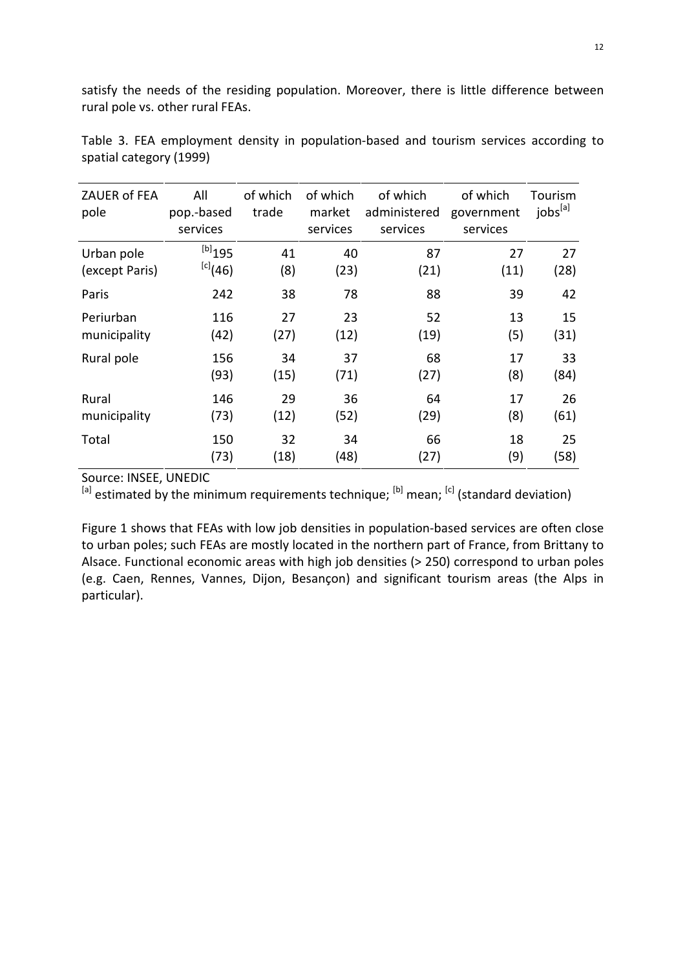satisfy the needs of the residing population. Moreover, there is little difference between rural pole vs. other rural FEAs.

| ZAUER of FEA<br>pole | All<br>pop.-based<br>services | of which<br>trade | of which<br>market<br>services | of which<br>administered<br>services | of which<br>government<br>services | Tourism<br>jobs <sup>[a]</sup> |
|----------------------|-------------------------------|-------------------|--------------------------------|--------------------------------------|------------------------------------|--------------------------------|
| Urban pole           | $^{[b]}$ 195                  | 41                | 40                             | 87                                   | 27                                 | 27                             |
| (except Paris)       | $[c]$ (46)                    | (8)               | (23)                           | (21)                                 | (11)                               | (28)                           |
| Paris                | 242                           | 38                | 78                             | 88                                   | 39                                 | 42                             |
| Periurban            | 116                           | 27                | 23                             | 52                                   | 13                                 | 15                             |
| municipality         | (42)                          | (27)              | (12)                           | (19)                                 | (5)                                | (31)                           |
| Rural pole           | 156                           | 34                | 37                             | 68                                   | 17                                 | 33                             |
|                      | (93)                          | (15)              | (71)                           | (27)                                 | (8)                                | (84)                           |
| Rural                | 146                           | 29                | 36                             | 64                                   | 17                                 | 26                             |
| municipality         | (73)                          | (12)              | (52)                           | (29)                                 | (8)                                | (61)                           |
| Total                | 150                           | 32                | 34                             | 66                                   | 18                                 | 25                             |
|                      | (73)                          | (18)              | (48)                           | (27)                                 | (9)                                | (58)                           |

Table 3. FEA employment density in population-based and tourism services according to spatial category (1999)

Source: INSEE, UNEDIC

 $[ab]$  estimated by the minimum requirements technique;  $[ab]$  mean;  $[cb]$  (standard deviation)

Figure 1 shows that FEAs with low job densities in population-based services are often close to urban poles; such FEAs are mostly located in the northern part of France, from Brittany to Alsace. Functional economic areas with high job densities (> 250) correspond to urban poles (e.g. Caen, Rennes, Vannes, Dijon, Besançon) and significant tourism areas (the Alps in particular).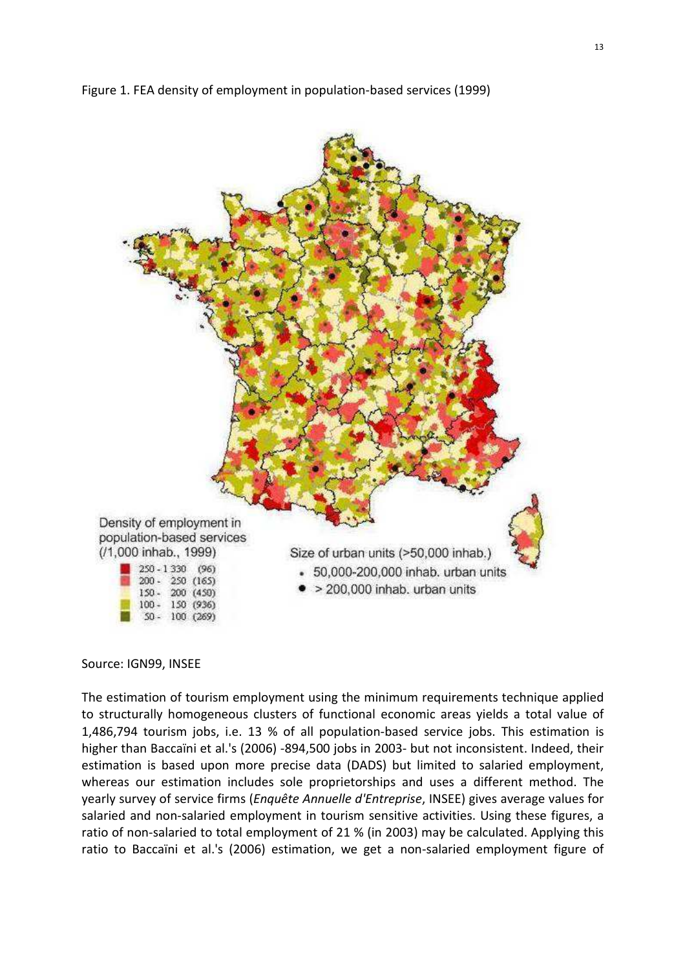



#### Source: IGN99, INSEE

The estimation of tourism employment using the minimum requirements technique applied to structurally homogeneous clusters of functional economic areas yields a total value of 1,486,794 tourism jobs, i.e. 13 % of all population-based service jobs. This estimation is higher than Baccaïni et al.'s (2006) -894,500 jobs in 2003- but not inconsistent. Indeed, their estimation is based upon more precise data (DADS) but limited to salaried employment, whereas our estimation includes sole proprietorships and uses a different method. The yearly survey of service firms (Enquête Annuelle d'Entreprise, INSEE) gives average values for salaried and non-salaried employment in tourism sensitive activities. Using these figures, a ratio of non-salaried to total employment of 21 % (in 2003) may be calculated. Applying this ratio to Baccaïni et al.'s (2006) estimation, we get a non-salaried employment figure of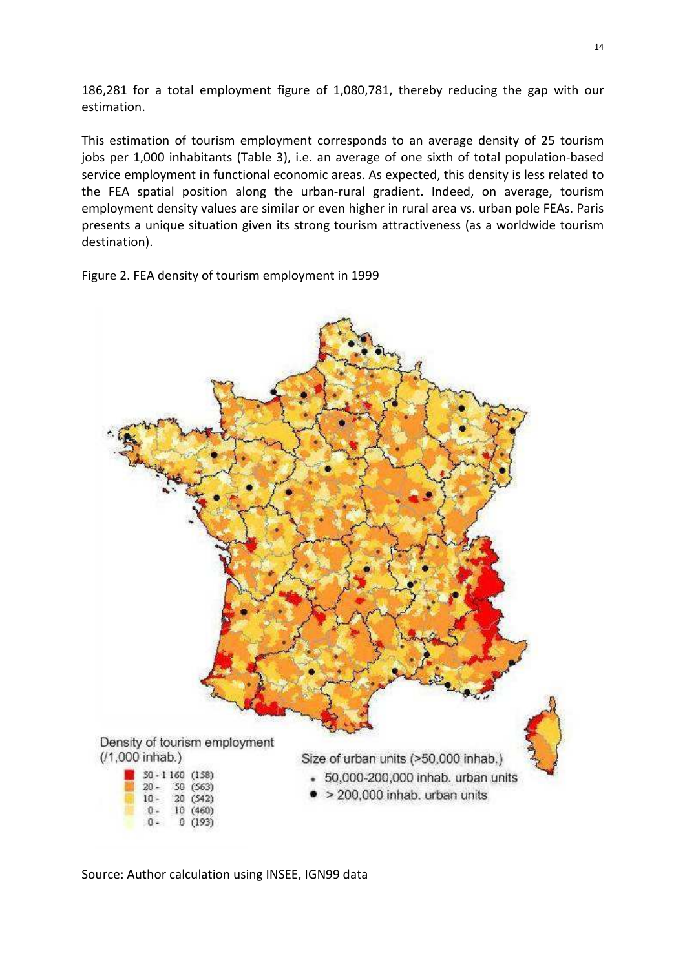186,281 for a total employment figure of 1,080,781, thereby reducing the gap with our estimation.

This estimation of tourism employment corresponds to an average density of 25 tourism jobs per 1,000 inhabitants (Table 3), i.e. an average of one sixth of total population-based service employment in functional economic areas. As expected, this density is less related to the FEA spatial position along the urban-rural gradient. Indeed, on average, tourism employment density values are similar or even higher in rural area vs. urban pole FEAs. Paris presents a unique situation given its strong tourism attractiveness (as a worldwide tourism destination).

Figure 2. FEA density of tourism employment in 1999



Source: Author calculation using INSEE, IGN99 data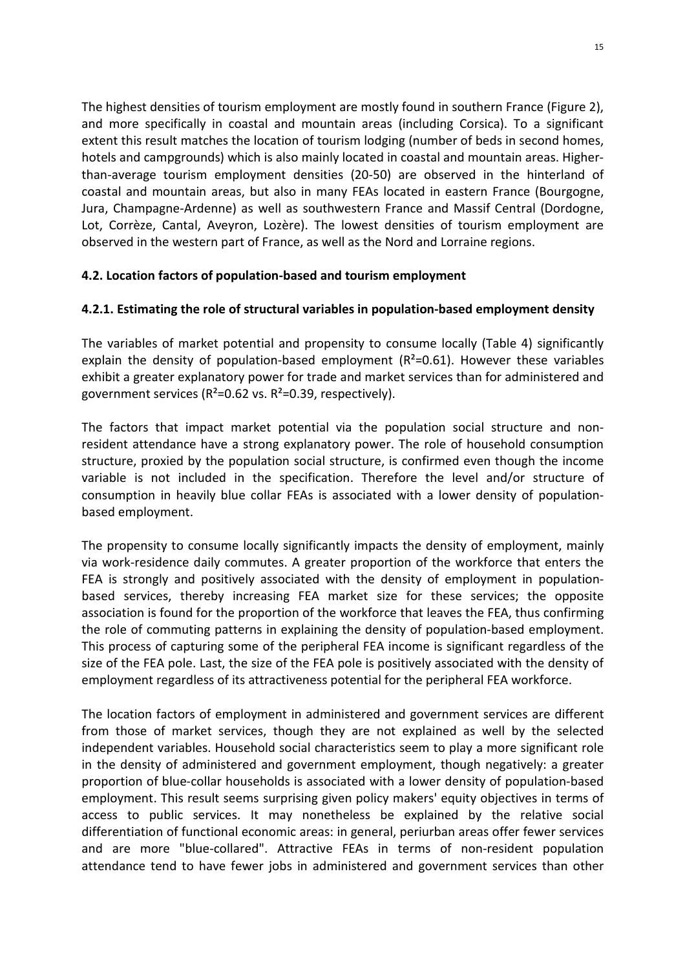The highest densities of tourism employment are mostly found in southern France (Figure 2), and more specifically in coastal and mountain areas (including Corsica). To a significant extent this result matches the location of tourism lodging (number of beds in second homes, hotels and campgrounds) which is also mainly located in coastal and mountain areas. Higherthan-average tourism employment densities (20-50) are observed in the hinterland of coastal and mountain areas, but also in many FEAs located in eastern France (Bourgogne, Jura, Champagne-Ardenne) as well as southwestern France and Massif Central (Dordogne, Lot, Corrèze, Cantal, Aveyron, Lozère). The lowest densities of tourism employment are observed in the western part of France, as well as the Nord and Lorraine regions.

## 4.2. Location factors of population-based and tourism employment

### 4.2.1. Estimating the role of structural variables in population-based employment density

The variables of market potential and propensity to consume locally (Table 4) significantly explain the density of population-based employment  $(R^2=0.61)$ . However these variables exhibit a greater explanatory power for trade and market services than for administered and government services ( $R^2$ =0.62 vs.  $R^2$ =0.39, respectively).

The factors that impact market potential via the population social structure and nonresident attendance have a strong explanatory power. The role of household consumption structure, proxied by the population social structure, is confirmed even though the income variable is not included in the specification. Therefore the level and/or structure of consumption in heavily blue collar FEAs is associated with a lower density of populationbased employment.

The propensity to consume locally significantly impacts the density of employment, mainly via work-residence daily commutes. A greater proportion of the workforce that enters the FEA is strongly and positively associated with the density of employment in populationbased services, thereby increasing FEA market size for these services; the opposite association is found for the proportion of the workforce that leaves the FEA, thus confirming the role of commuting patterns in explaining the density of population-based employment. This process of capturing some of the peripheral FEA income is significant regardless of the size of the FEA pole. Last, the size of the FEA pole is positively associated with the density of employment regardless of its attractiveness potential for the peripheral FEA workforce.

The location factors of employment in administered and government services are different from those of market services, though they are not explained as well by the selected independent variables. Household social characteristics seem to play a more significant role in the density of administered and government employment, though negatively: a greater proportion of blue-collar households is associated with a lower density of population-based employment. This result seems surprising given policy makers' equity objectives in terms of access to public services. It may nonetheless be explained by the relative social differentiation of functional economic areas: in general, periurban areas offer fewer services and are more "blue-collared". Attractive FEAs in terms of non-resident population attendance tend to have fewer jobs in administered and government services than other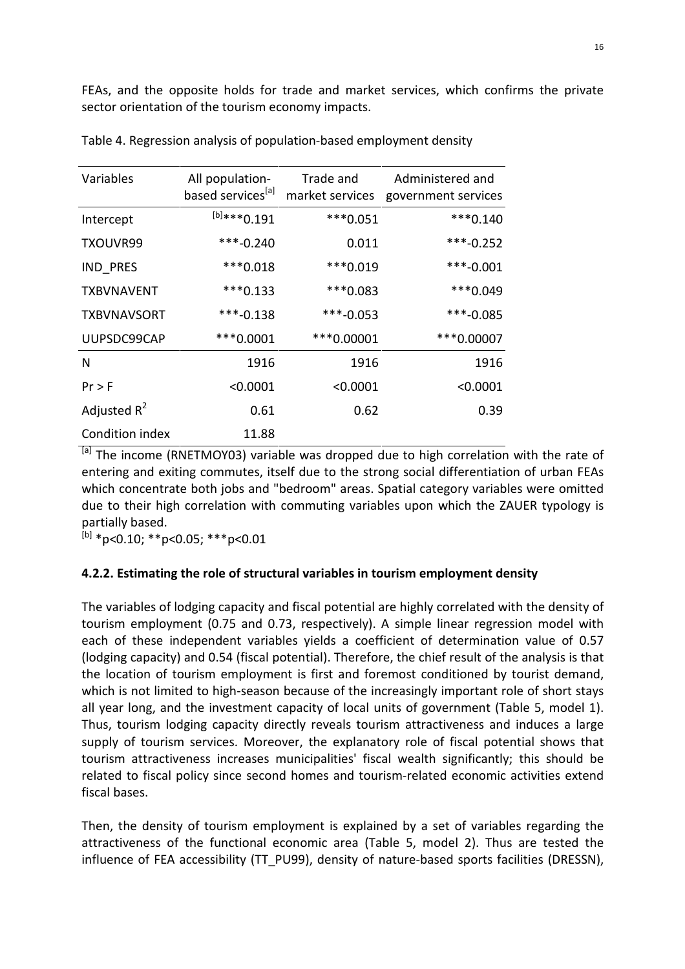FEAs, and the opposite holds for trade and market services, which confirms the private sector orientation of the tourism economy impacts.

| Variables          | All population-<br>based services <sup>[a]</sup> | Trade and<br>market services | Administered and<br>government services |
|--------------------|--------------------------------------------------|------------------------------|-----------------------------------------|
| Intercept          | $^{[b]***}0.191$                                 | ***0.051                     | $***0.140$                              |
| TXOUVR99           | $***-0.240$                                      | 0.011                        | $***-0.252$                             |
| IND_PRES           | ***0.018                                         | ***0.019                     | $***-0.001$                             |
| <b>TXBVNAVENT</b>  | $***0.133$                                       | ***0.083                     | ***0.049                                |
| <b>TXBVNAVSORT</b> | $***-0.138$                                      | ***-0.053                    | $***-0.085$                             |
| UUPSDC99CAP        | $***0.0001$                                      | ***0.00001                   | ***0.00007                              |
| N                  | 1916                                             | 1916                         | 1916                                    |
| $Pr$ > F           | < 0.0001                                         | < 0.0001                     | < 0.0001                                |
| Adjusted $R^2$     | 0.61                                             | 0.62                         | 0.39                                    |
| Condition index    | 11.88                                            |                              |                                         |

Table 4. Regression analysis of population-based employment density

<sup>[a]</sup> The income (RNETMOY03) variable was dropped due to high correlation with the rate of entering and exiting commutes, itself due to the strong social differentiation of urban FEAs which concentrate both jobs and "bedroom" areas. Spatial category variables were omitted due to their high correlation with commuting variables upon which the ZAUER typology is partially based.

 $^{[b]}$  \*p<0.10; \*\*p<0.05; \*\*\*p<0.01

#### 4.2.2. Estimating the role of structural variables in tourism employment density

The variables of lodging capacity and fiscal potential are highly correlated with the density of tourism employment (0.75 and 0.73, respectively). A simple linear regression model with each of these independent variables yields a coefficient of determination value of 0.57 (lodging capacity) and 0.54 (fiscal potential). Therefore, the chief result of the analysis is that the location of tourism employment is first and foremost conditioned by tourist demand, which is not limited to high-season because of the increasingly important role of short stays all year long, and the investment capacity of local units of government (Table 5, model 1). Thus, tourism lodging capacity directly reveals tourism attractiveness and induces a large supply of tourism services. Moreover, the explanatory role of fiscal potential shows that tourism attractiveness increases municipalities' fiscal wealth significantly; this should be related to fiscal policy since second homes and tourism-related economic activities extend fiscal bases.

Then, the density of tourism employment is explained by a set of variables regarding the attractiveness of the functional economic area (Table 5, model 2). Thus are tested the influence of FEA accessibility (TT\_PU99), density of nature-based sports facilities (DRESSN),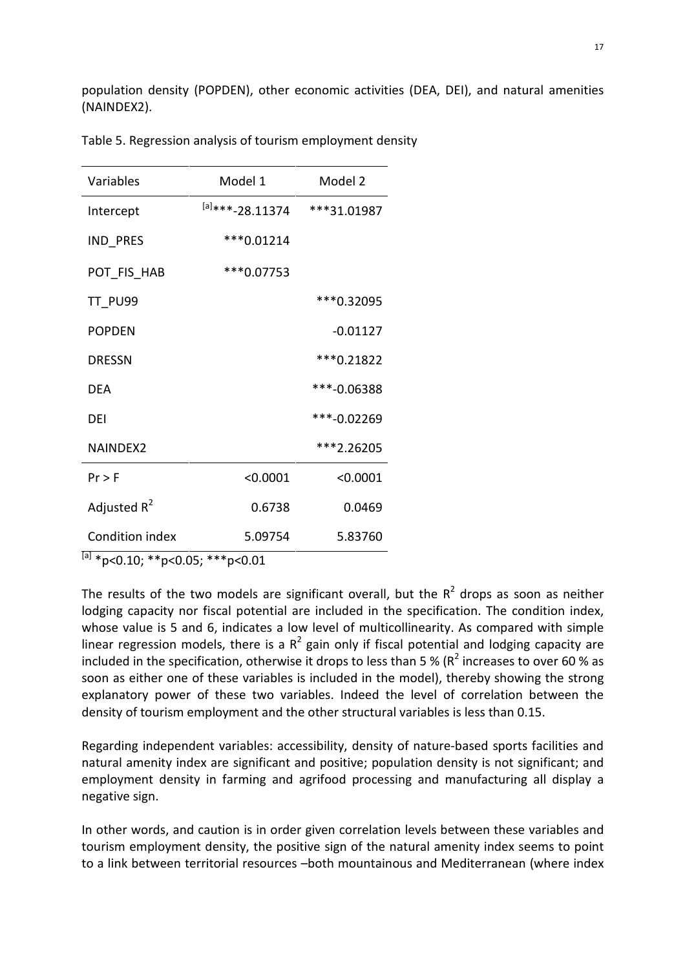population density (POPDEN), other economic activities (DEA, DEI), and natural amenities (NAINDEX2).

| Model 1               | Model 2     |
|-----------------------|-------------|
| $^{[a]***}$ -28.11374 | ***31.01987 |
| *** 0.01214           |             |
| ***0.07753            |             |
|                       | ***0.32095  |
|                       | $-0.01127$  |
|                       | *** 0.21822 |
|                       | ***-0.06388 |
|                       | ***-0.02269 |
|                       | ***2.26205  |
| < 0.0001              | < 0.0001    |
| 0.6738                | 0.0469      |
| 5.09754               | 5.83760     |
|                       |             |

Table 5. Regression analysis of tourism employment density

 $^{[a]}$  \*p<0.10; \*\*p<0.05; \*\*\*p<0.01

The results of the two models are significant overall, but the  $R^2$  drops as soon as neither lodging capacity nor fiscal potential are included in the specification. The condition index, whose value is 5 and 6, indicates a low level of multicollinearity. As compared with simple linear regression models, there is a  $R^2$  gain only if fiscal potential and lodging capacity are included in the specification, otherwise it drops to less than 5 % (R<sup>2</sup> increases to over 60 % as soon as either one of these variables is included in the model), thereby showing the strong explanatory power of these two variables. Indeed the level of correlation between the density of tourism employment and the other structural variables is less than 0.15.

Regarding independent variables: accessibility, density of nature-based sports facilities and natural amenity index are significant and positive; population density is not significant; and employment density in farming and agrifood processing and manufacturing all display a negative sign.

In other words, and caution is in order given correlation levels between these variables and tourism employment density, the positive sign of the natural amenity index seems to point to a link between territorial resources –both mountainous and Mediterranean (where index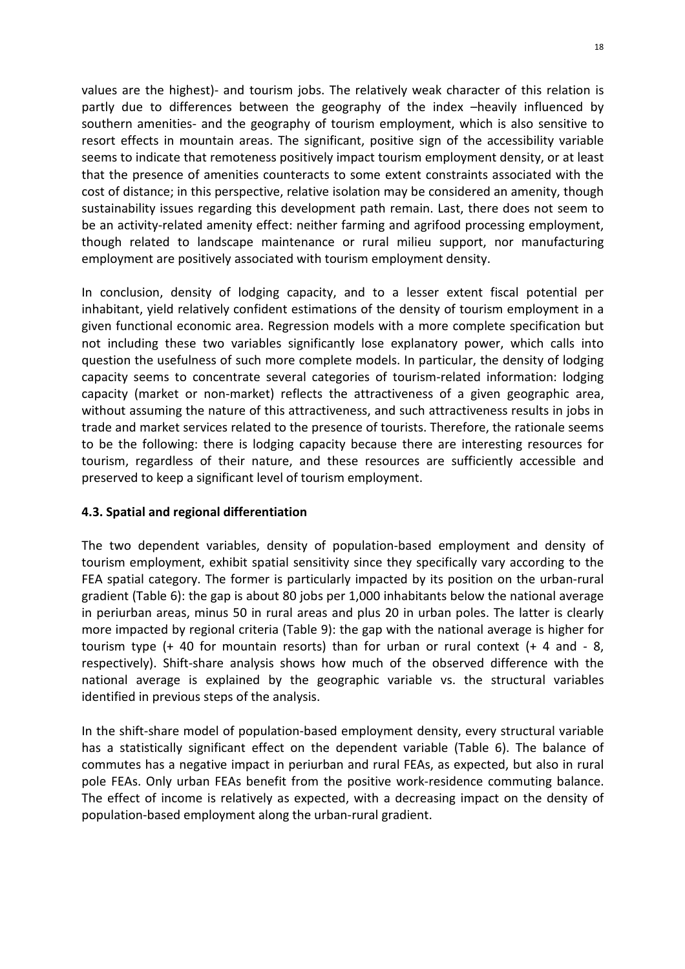values are the highest)- and tourism jobs. The relatively weak character of this relation is partly due to differences between the geography of the index –heavily influenced by southern amenities- and the geography of tourism employment, which is also sensitive to resort effects in mountain areas. The significant, positive sign of the accessibility variable seems to indicate that remoteness positively impact tourism employment density, or at least that the presence of amenities counteracts to some extent constraints associated with the cost of distance; in this perspective, relative isolation may be considered an amenity, though sustainability issues regarding this development path remain. Last, there does not seem to be an activity-related amenity effect: neither farming and agrifood processing employment, though related to landscape maintenance or rural milieu support, nor manufacturing employment are positively associated with tourism employment density.

In conclusion, density of lodging capacity, and to a lesser extent fiscal potential per inhabitant, yield relatively confident estimations of the density of tourism employment in a given functional economic area. Regression models with a more complete specification but not including these two variables significantly lose explanatory power, which calls into question the usefulness of such more complete models. In particular, the density of lodging capacity seems to concentrate several categories of tourism-related information: lodging capacity (market or non-market) reflects the attractiveness of a given geographic area, without assuming the nature of this attractiveness, and such attractiveness results in jobs in trade and market services related to the presence of tourists. Therefore, the rationale seems to be the following: there is lodging capacity because there are interesting resources for tourism, regardless of their nature, and these resources are sufficiently accessible and preserved to keep a significant level of tourism employment.

## 4.3. Spatial and regional differentiation

The two dependent variables, density of population-based employment and density of tourism employment, exhibit spatial sensitivity since they specifically vary according to the FEA spatial category. The former is particularly impacted by its position on the urban-rural gradient (Table 6): the gap is about 80 jobs per 1,000 inhabitants below the national average in periurban areas, minus 50 in rural areas and plus 20 in urban poles. The latter is clearly more impacted by regional criteria (Table 9): the gap with the national average is higher for tourism type (+ 40 for mountain resorts) than for urban or rural context (+ 4 and - 8, respectively). Shift-share analysis shows how much of the observed difference with the national average is explained by the geographic variable vs. the structural variables identified in previous steps of the analysis.

In the shift-share model of population-based employment density, every structural variable has a statistically significant effect on the dependent variable (Table 6). The balance of commutes has a negative impact in periurban and rural FEAs, as expected, but also in rural pole FEAs. Only urban FEAs benefit from the positive work-residence commuting balance. The effect of income is relatively as expected, with a decreasing impact on the density of population-based employment along the urban-rural gradient.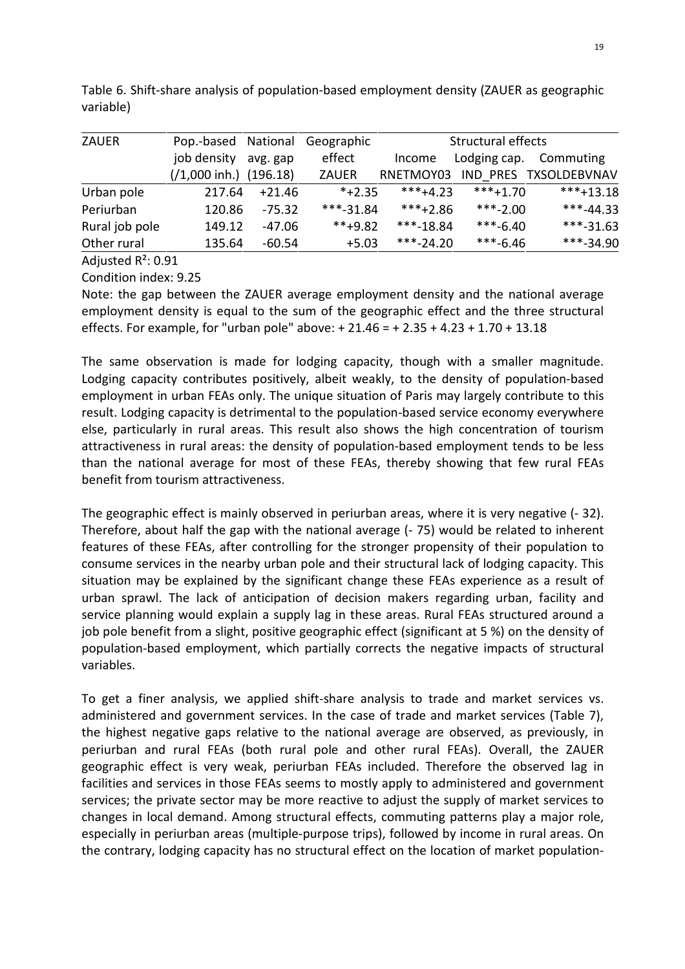| <b>ZAUER</b>   | Pop.-based                | National | Geographic   | Structural effects |              |                       |
|----------------|---------------------------|----------|--------------|--------------------|--------------|-----------------------|
|                | job density               | avg. gap | effect       | Income             | Lodging cap. | Commuting             |
|                | $(1,000 \infty)$ (196.18) |          | <b>ZAUER</b> | RNETMOY03          |              | IND PRES TXSOLDEBVNAV |
| Urban pole     | 217.64                    | $+21.46$ | $*+2.35$     | $***+4.23$         | $***+1.70$   | $***+13.18$           |
| Periurban      | 120.86                    | $-75.32$ | $***-31.84$  | $***+2.86$         | $***-2.00$   | $***-44.33$           |
| Rural job pole | 149.12                    | -47.06   | $***+9.82$   | $***-18.84$        | $***-6.40$   | $***-31.63$           |
| Other rural    | 135.64                    | -60.54   | $+5.03$      | $***-24.20$        | $***-6.46$   | $***-34.90$           |

Table 6. Shift-share analysis of population-based employment density (ZAUER as geographic variable)

Adjusted R²: 0.91

Condition index: 9.25

Note: the gap between the ZAUER average employment density and the national average employment density is equal to the sum of the geographic effect and the three structural effects. For example, for "urban pole" above: + 21.46 = + 2.35 + 4.23 + 1.70 + 13.18

The same observation is made for lodging capacity, though with a smaller magnitude. Lodging capacity contributes positively, albeit weakly, to the density of population-based employment in urban FEAs only. The unique situation of Paris may largely contribute to this result. Lodging capacity is detrimental to the population-based service economy everywhere else, particularly in rural areas. This result also shows the high concentration of tourism attractiveness in rural areas: the density of population-based employment tends to be less than the national average for most of these FEAs, thereby showing that few rural FEAs benefit from tourism attractiveness.

The geographic effect is mainly observed in periurban areas, where it is very negative (- 32). Therefore, about half the gap with the national average (- 75) would be related to inherent features of these FEAs, after controlling for the stronger propensity of their population to consume services in the nearby urban pole and their structural lack of lodging capacity. This situation may be explained by the significant change these FEAs experience as a result of urban sprawl. The lack of anticipation of decision makers regarding urban, facility and service planning would explain a supply lag in these areas. Rural FEAs structured around a job pole benefit from a slight, positive geographic effect (significant at 5 %) on the density of population-based employment, which partially corrects the negative impacts of structural variables.

To get a finer analysis, we applied shift-share analysis to trade and market services vs. administered and government services. In the case of trade and market services (Table 7), the highest negative gaps relative to the national average are observed, as previously, in periurban and rural FEAs (both rural pole and other rural FEAs). Overall, the ZAUER geographic effect is very weak, periurban FEAs included. Therefore the observed lag in facilities and services in those FEAs seems to mostly apply to administered and government services; the private sector may be more reactive to adjust the supply of market services to changes in local demand. Among structural effects, commuting patterns play a major role, especially in periurban areas (multiple-purpose trips), followed by income in rural areas. On the contrary, lodging capacity has no structural effect on the location of market population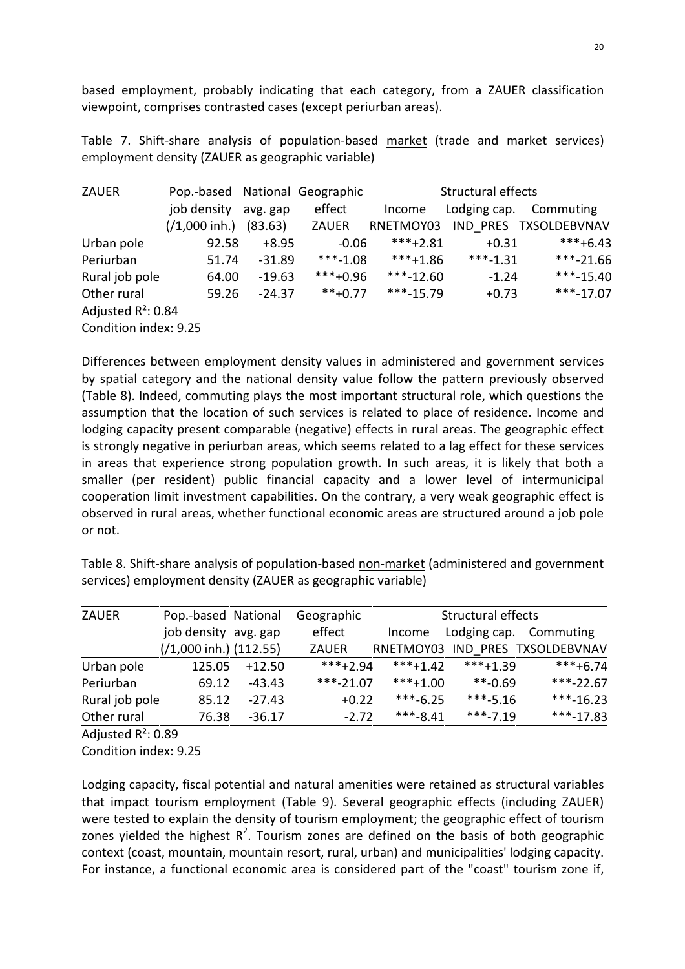based employment, probably indicating that each category, from a ZAUER classification viewpoint, comprises contrasted cases (except periurban areas).

Table 7. Shift-share analysis of population-based market (trade and market services) employment density (ZAUER as geographic variable)

| <b>ZAUER</b>   | Pop.-based National Geographic |          |              | Structural effects |              |                       |
|----------------|--------------------------------|----------|--------------|--------------------|--------------|-----------------------|
|                | job density                    | avg. gap | effect       | Income             | Lodging cap. | Commuting             |
|                | $( / 1,000 \infty )$           | (83.63)  | <b>ZAUER</b> | RNETMOY03          |              | IND PRES TXSOLDEBVNAV |
| Urban pole     | 92.58                          | $+8.95$  | $-0.06$      | $***+2.81$         | $+0.31$      | $***+6.43$            |
| Periurban      | 51.74                          | $-31.89$ | $***-1.08$   | $***+1.86$         | $***-1.31$   | $***-21.66$           |
| Rural job pole | 64.00                          | $-19.63$ | $***+0.96$   | $***-12.60$        | $-1.24$      | $***-15.40$           |
| Other rural    | 59.26                          | $-24.37$ | $***+0.77$   | $***-15.79$        | $+0.73$      | $***-17.07$           |
|                |                                |          |              |                    |              |                       |

Adjusted R²: 0.84

Condition index: 9.25

Differences between employment density values in administered and government services by spatial category and the national density value follow the pattern previously observed (Table 8). Indeed, commuting plays the most important structural role, which questions the assumption that the location of such services is related to place of residence. Income and lodging capacity present comparable (negative) effects in rural areas. The geographic effect is strongly negative in periurban areas, which seems related to a lag effect for these services in areas that experience strong population growth. In such areas, it is likely that both a smaller (per resident) public financial capacity and a lower level of intermunicipal cooperation limit investment capabilities. On the contrary, a very weak geographic effect is observed in rural areas, whether functional economic areas are structured around a job pole or not.

Table 8. Shift-share analysis of population-based non-market (administered and government services) employment density (ZAUER as geographic variable)

| <b>ZAUER</b>   | Pop.-based National               |          | Geographic   |            |            | Structural effects              |  |
|----------------|-----------------------------------|----------|--------------|------------|------------|---------------------------------|--|
|                | job density avg. gap              |          | effect       | Income     |            | Lodging cap. Commuting          |  |
|                | $(1,000 \text{ inh.})$ $(112.55)$ |          | <b>ZAUER</b> |            |            | RNETMOY03 IND PRES TXSOLDEBVNAV |  |
| Urban pole     | 125.05                            | $+12.50$ | $***+2.94$   | $***+1.42$ | $***+1.39$ | $***+6.74$                      |  |
| Periurban      | 69.12                             | $-43.43$ | $***-21.07$  | $***+1.00$ | $***-0.69$ | $***-22.67$                     |  |
| Rural job pole | 85.12                             | $-27.43$ | $+0.22$      | $***-6.25$ | $***-5.16$ | $***-16.23$                     |  |
| Other rural    | 76.38                             | $-36.17$ | $-2.72$      | $***-8.41$ | $***-7.19$ | $***-17.83$                     |  |
|                |                                   |          |              |            |            |                                 |  |

Adjusted R²: 0.89

Condition index: 9.25

Lodging capacity, fiscal potential and natural amenities were retained as structural variables that impact tourism employment (Table 9). Several geographic effects (including ZAUER) were tested to explain the density of tourism employment; the geographic effect of tourism zones yielded the highest  $R^2$ . Tourism zones are defined on the basis of both geographic context (coast, mountain, mountain resort, rural, urban) and municipalities' lodging capacity. For instance, a functional economic area is considered part of the "coast" tourism zone if,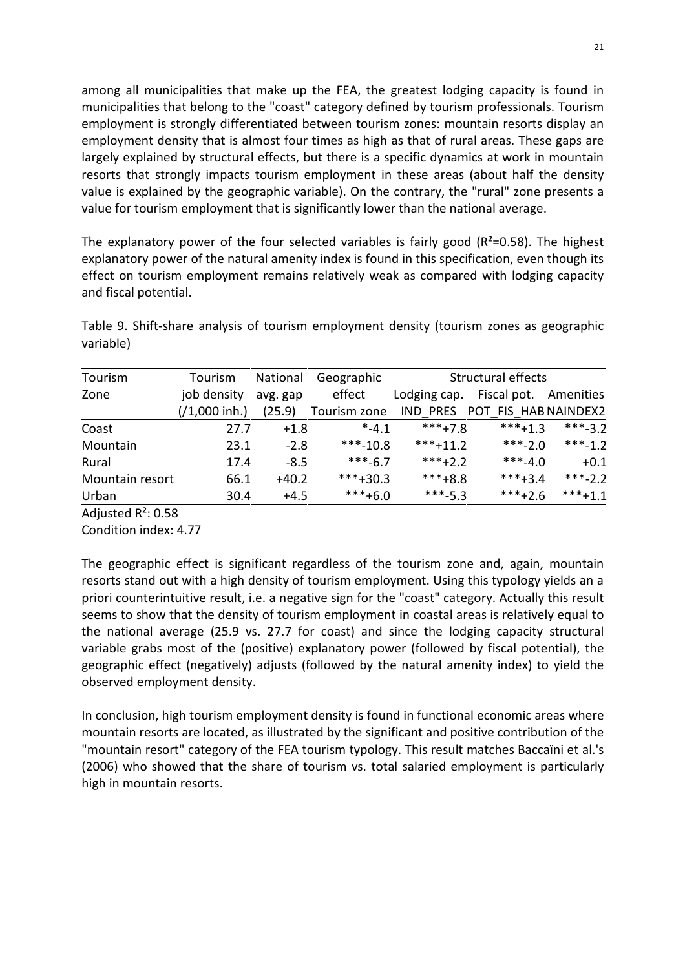among all municipalities that make up the FEA, the greatest lodging capacity is found in municipalities that belong to the "coast" category defined by tourism professionals. Tourism employment is strongly differentiated between tourism zones: mountain resorts display an employment density that is almost four times as high as that of rural areas. These gaps are largely explained by structural effects, but there is a specific dynamics at work in mountain resorts that strongly impacts tourism employment in these areas (about half the density value is explained by the geographic variable). On the contrary, the "rural" zone presents a value for tourism employment that is significantly lower than the national average.

The explanatory power of the four selected variables is fairly good ( $R^2$ =0.58). The highest explanatory power of the natural amenity index is found in this specification, even though its effect on tourism employment remains relatively weak as compared with lodging capacity and fiscal potential.

Table 9. Shift-share analysis of tourism employment density (tourism zones as geographic variable)

| Tourism         | Tourism          | National | Geographic   |              | Structural effects            |           |
|-----------------|------------------|----------|--------------|--------------|-------------------------------|-----------|
| Zone            | job density      | avg. gap | effect       | Lodging cap. | Fiscal pot. Amenities         |           |
|                 | $(1,000 \infty)$ | (25.9)   | Tourism zone |              | IND PRES POT FIS HAB NAINDEX2 |           |
| Coast           | 27.7             | $+1.8$   | $* -4.1$     | $***+7.8$    | $***+1.3$                     | $***-3.2$ |
| Mountain        | 23.1             | $-2.8$   | $***-10.8$   | $***+11.2$   | $***-2.0$                     | $***-1.2$ |
| Rural           | 17.4             | $-8.5$   | $***-6.7$    | $***+2.2$    | $***-4.0$                     | $+0.1$    |
| Mountain resort | 66.1             | $+40.2$  | $***+30.3$   | $***+8.8$    | $***+3.4$                     | ***-2.2   |
| Urban           | 30.4             | $+4.5$   | $***+6.0$    | $***-5.3$    | $***+2.6$                     | $***+1.1$ |

Adjusted R²: 0.58

Condition index: 4.77

The geographic effect is significant regardless of the tourism zone and, again, mountain resorts stand out with a high density of tourism employment. Using this typology yields an a priori counterintuitive result, i.e. a negative sign for the "coast" category. Actually this result seems to show that the density of tourism employment in coastal areas is relatively equal to the national average (25.9 vs. 27.7 for coast) and since the lodging capacity structural variable grabs most of the (positive) explanatory power (followed by fiscal potential), the geographic effect (negatively) adjusts (followed by the natural amenity index) to yield the observed employment density.

In conclusion, high tourism employment density is found in functional economic areas where mountain resorts are located, as illustrated by the significant and positive contribution of the "mountain resort" category of the FEA tourism typology. This result matches Baccaïni et al.'s (2006) who showed that the share of tourism vs. total salaried employment is particularly high in mountain resorts.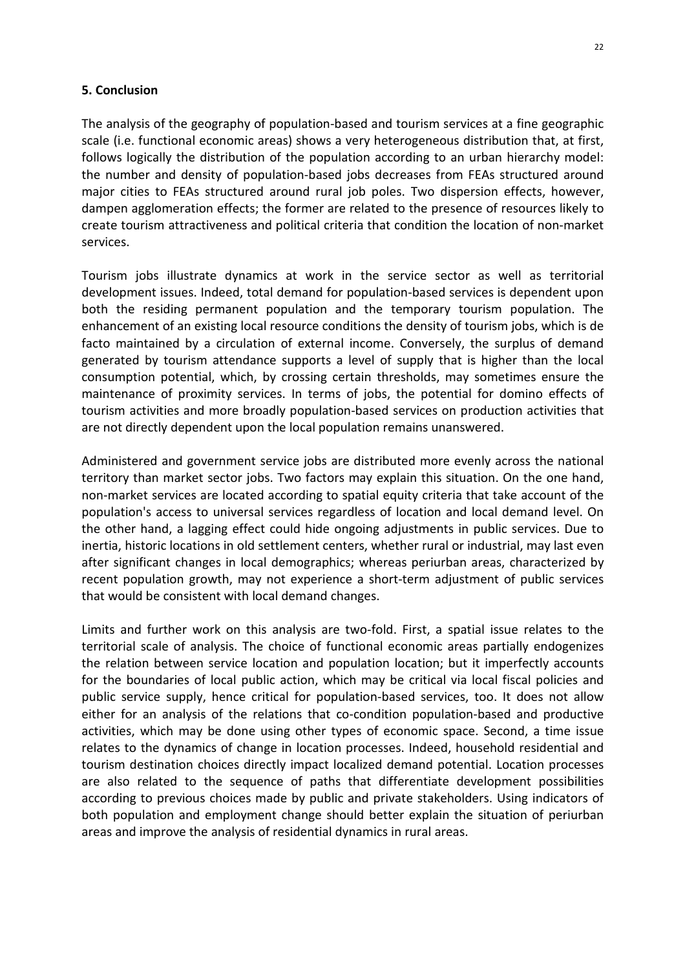#### 5. Conclusion

The analysis of the geography of population-based and tourism services at a fine geographic scale (i.e. functional economic areas) shows a very heterogeneous distribution that, at first, follows logically the distribution of the population according to an urban hierarchy model: the number and density of population-based jobs decreases from FEAs structured around major cities to FEAs structured around rural job poles. Two dispersion effects, however, dampen agglomeration effects; the former are related to the presence of resources likely to create tourism attractiveness and political criteria that condition the location of non-market services.

Tourism jobs illustrate dynamics at work in the service sector as well as territorial development issues. Indeed, total demand for population-based services is dependent upon both the residing permanent population and the temporary tourism population. The enhancement of an existing local resource conditions the density of tourism jobs, which is de facto maintained by a circulation of external income. Conversely, the surplus of demand generated by tourism attendance supports a level of supply that is higher than the local consumption potential, which, by crossing certain thresholds, may sometimes ensure the maintenance of proximity services. In terms of jobs, the potential for domino effects of tourism activities and more broadly population-based services on production activities that are not directly dependent upon the local population remains unanswered.

Administered and government service jobs are distributed more evenly across the national territory than market sector jobs. Two factors may explain this situation. On the one hand, non-market services are located according to spatial equity criteria that take account of the population's access to universal services regardless of location and local demand level. On the other hand, a lagging effect could hide ongoing adjustments in public services. Due to inertia, historic locations in old settlement centers, whether rural or industrial, may last even after significant changes in local demographics; whereas periurban areas, characterized by recent population growth, may not experience a short-term adjustment of public services that would be consistent with local demand changes.

Limits and further work on this analysis are two-fold. First, a spatial issue relates to the territorial scale of analysis. The choice of functional economic areas partially endogenizes the relation between service location and population location; but it imperfectly accounts for the boundaries of local public action, which may be critical via local fiscal policies and public service supply, hence critical for population-based services, too. It does not allow either for an analysis of the relations that co-condition population-based and productive activities, which may be done using other types of economic space. Second, a time issue relates to the dynamics of change in location processes. Indeed, household residential and tourism destination choices directly impact localized demand potential. Location processes are also related to the sequence of paths that differentiate development possibilities according to previous choices made by public and private stakeholders. Using indicators of both population and employment change should better explain the situation of periurban areas and improve the analysis of residential dynamics in rural areas.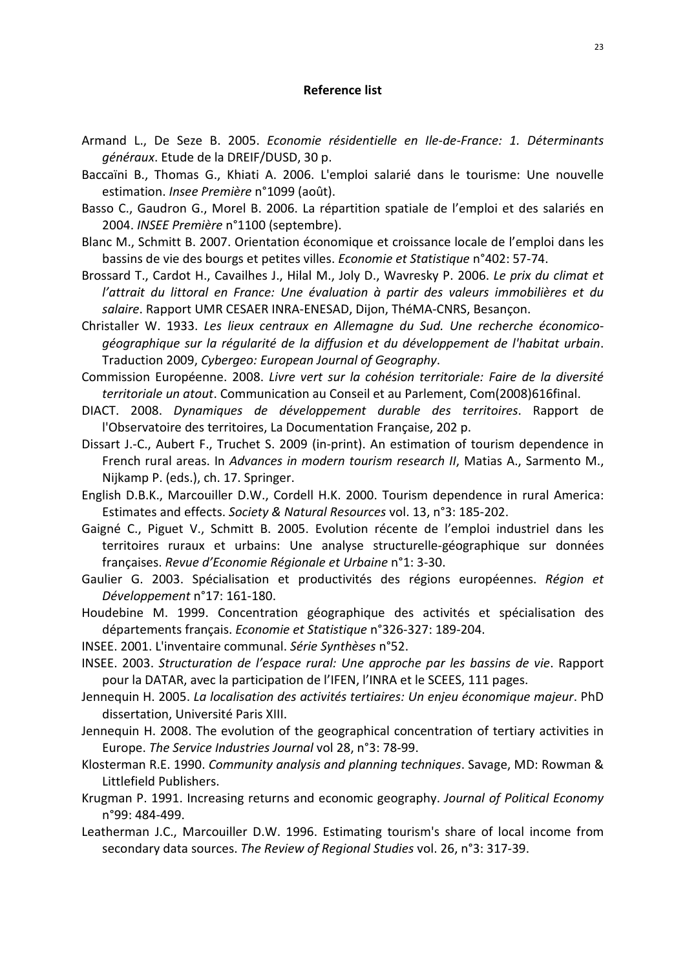#### Reference list

- Armand L., De Seze B. 2005. Economie résidentielle en Ile-de-France: 1. Déterminants généraux. Etude de la DREIF/DUSD, 30 p.
- Baccaïni B., Thomas G., Khiati A. 2006. L'emploi salarié dans le tourisme: Une nouvelle estimation. Insee Première n°1099 (août).
- Basso C., Gaudron G., Morel B. 2006. La répartition spatiale de l'emploi et des salariés en 2004. INSEE Première n°1100 (septembre).
- Blanc M., Schmitt B. 2007. Orientation économique et croissance locale de l'emploi dans les bassins de vie des bourgs et petites villes. Economie et Statistique n°402: 57-74.
- Brossard T., Cardot H., Cavailhes J., Hilal M., Joly D., Wavresky P. 2006. Le prix du climat et l'attrait du littoral en France: Une évaluation à partir des valeurs immobilières et du salaire. Rapport UMR CESAER INRA-ENESAD, Dijon, ThéMA-CNRS, Besançon.
- Christaller W. 1933. Les lieux centraux en Allemagne du Sud. Une recherche économicogéographique sur la régularité de la diffusion et du développement de l'habitat urbain. Traduction 2009, Cybergeo: European Journal of Geography.
- Commission Européenne. 2008. Livre vert sur la cohésion territoriale: Faire de la diversité territoriale un atout. Communication au Conseil et au Parlement, Com(2008)616final.
- DIACT. 2008. Dynamiques de développement durable des territoires. Rapport de l'Observatoire des territoires, La Documentation Française, 202 p.
- Dissart J.-C., Aubert F., Truchet S. 2009 (in-print). An estimation of tourism dependence in French rural areas. In Advances in modern tourism research II, Matias A., Sarmento M., Nijkamp P. (eds.), ch. 17. Springer.
- English D.B.K., Marcouiller D.W., Cordell H.K. 2000. Tourism dependence in rural America: Estimates and effects. Society & Natural Resources vol. 13, n°3: 185-202.
- Gaigné C., Piguet V., Schmitt B. 2005. Evolution récente de l'emploi industriel dans les territoires ruraux et urbains: Une analyse structurelle-géographique sur données françaises. Revue d'Economie Régionale et Urbaine n°1: 3-30.
- Gaulier G. 2003. Spécialisation et productivités des régions européennes. Région et Développement n°17: 161-180.
- Houdebine M. 1999. Concentration géographique des activités et spécialisation des départements français. Economie et Statistique n°326-327: 189-204.
- INSEE. 2001. L'inventaire communal. Série Synthèses n°52.
- INSEE. 2003. Structuration de l'espace rural: Une approche par les bassins de vie. Rapport pour la DATAR, avec la participation de l'IFEN, l'INRA et le SCEES, 111 pages.
- Jennequin H. 2005. La localisation des activités tertiaires: Un enjeu économique majeur. PhD dissertation, Université Paris XIII.
- Jennequin H. 2008. The evolution of the geographical concentration of tertiary activities in Europe. The Service Industries Journal vol 28, n°3: 78-99.
- Klosterman R.E. 1990. Community analysis and planning techniques. Savage, MD: Rowman & Littlefield Publishers.
- Krugman P. 1991. Increasing returns and economic geography. Journal of Political Economy n°99: 484-499.
- Leatherman J.C., Marcouiller D.W. 1996. Estimating tourism's share of local income from secondary data sources. The Review of Regional Studies vol. 26, n°3: 317-39.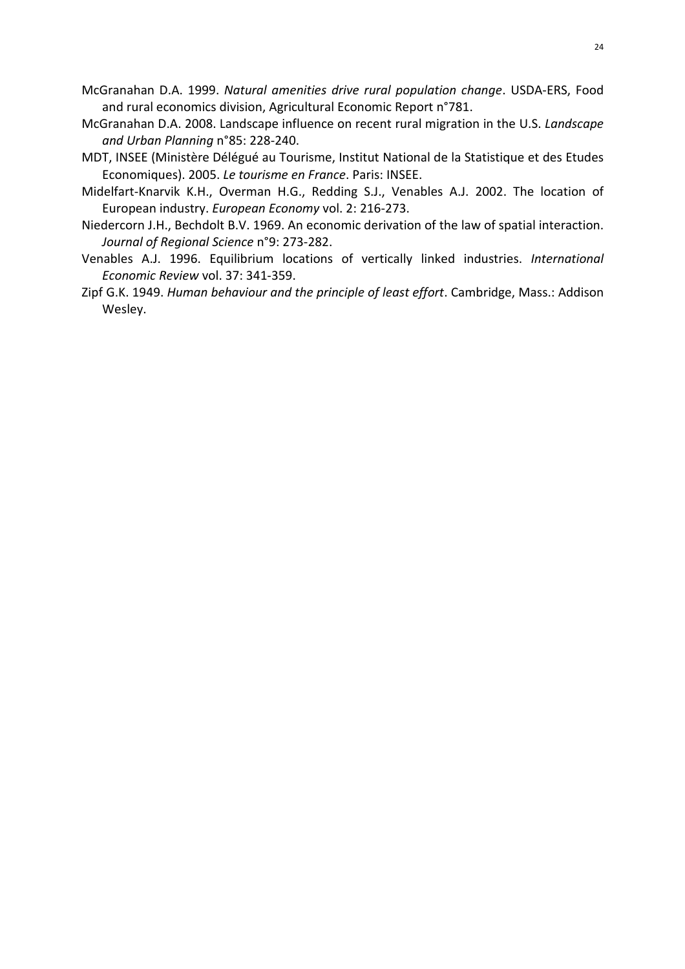- 24
- McGranahan D.A. 1999. Natural amenities drive rural population change. USDA-ERS, Food and rural economics division, Agricultural Economic Report n°781.
- McGranahan D.A. 2008. Landscape influence on recent rural migration in the U.S. Landscape and Urban Planning n°85: 228-240.
- MDT, INSEE (Ministère Délégué au Tourisme, Institut National de la Statistique et des Etudes Economiques). 2005. Le tourisme en France. Paris: INSEE.
- Midelfart-Knarvik K.H., Overman H.G., Redding S.J., Venables A.J. 2002. The location of European industry. European Economy vol. 2: 216-273.
- Niedercorn J.H., Bechdolt B.V. 1969. An economic derivation of the law of spatial interaction. Journal of Regional Science n°9: 273-282.
- Venables A.J. 1996. Equilibrium locations of vertically linked industries. International Economic Review vol. 37: 341-359.
- Zipf G.K. 1949. Human behaviour and the principle of least effort. Cambridge, Mass.: Addison Wesley.